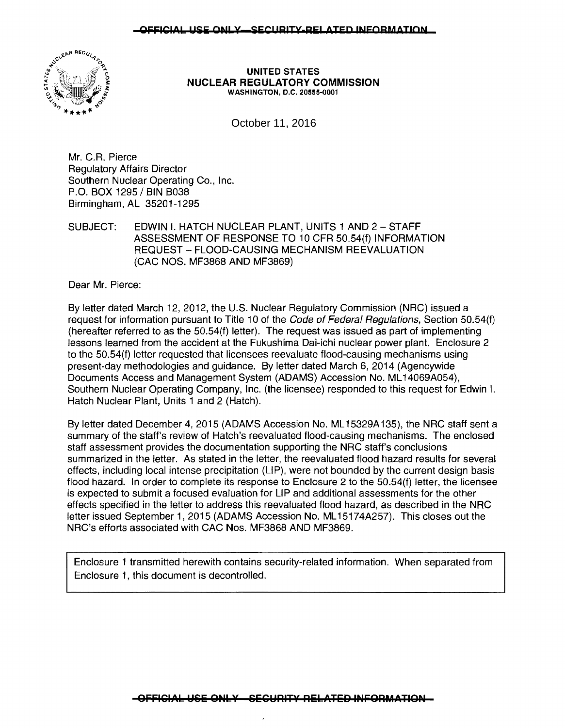#### OFFICIAL USE ONLY-SECURITY-RELATED INFORMATION



UNITED STATES NUCLEAR REGULATORY COMMISSION WASHINGTON, D.C. 20555-0001

October 11, 2016

Mr. C.R. Pierce Regulatory Affairs Director Southern Nuclear Operating Co., Inc. P.O. BOX 1295 / BIN B038 Birmingham, AL 35201-1295

SUBJECT: EDWIN I. HATCH NUCLEAR PLANT, UNITS 1 AND 2 - STAFF ASSESSMENT OF RESPONSE TO 10 CFR 50.54(f) INFORMATION REQUEST- FLOOD-CAUSING MECHANISM REEVALUATION (CAC NOS. MF3868 AND MF3869)

Dear Mr. Pierce:

By letter dated March 12, 2012, the U.S. Nuclear Regulatory Commission (NRC) issued a request for information pursuant to Title 10 of the Code of Federal Regulations, Section 50.54(f) (hereafter referred to as the 50.54(f) letter). The request was issued as part of implementing lessons learned from the accident at the Fukushima Dai-ichi nuclear power plant. Enclosure 2 to the 50.54(f} letter requested that licensees reevaluate flood-causing mechanisms using present-day methodologies and guidance. By letter dated March 6, 2014 (Agencywide Documents Access and Management System (ADAMS} Accession No. ML 14069A054}, Southern Nuclear Operating Company, Inc. (the licensee) responded to this request for Edwin I. Hatch Nuclear Plant, Units 1 and 2 (Hatch).

By letter dated December 4, 2015 (ADAMS Accession No. ML15329A135), the NRC staff sent a summary of the staff's review of Hatch's reevaluated flood-causing mechanisms. The enclosed staff assessment provides the documentation supporting the NRC staff's conclusions summarized in the letter. As stated in the letter, the reevaluated flood hazard results for several effects, including local intense precipitation (LIP), were not bounded by the current design basis flood hazard. In order to complete its response to Enclosure 2 to the 50.54(f) letter, the licensee is expected to submit a focused evaluation for LIP and additional assessments for the other effects specified in the letter to address this reevaluated flood hazard, as described in the NRC letter issued September 1, 2015 (ADAMS Accession No. ML 15174A257). This closes out the NRC's efforts associated with CAC Nos. MF3868 AND MF3869.

Enclosure 1 transmitted herewith contains security-related information. When separated from Enclosure 1, this document is decontrolled.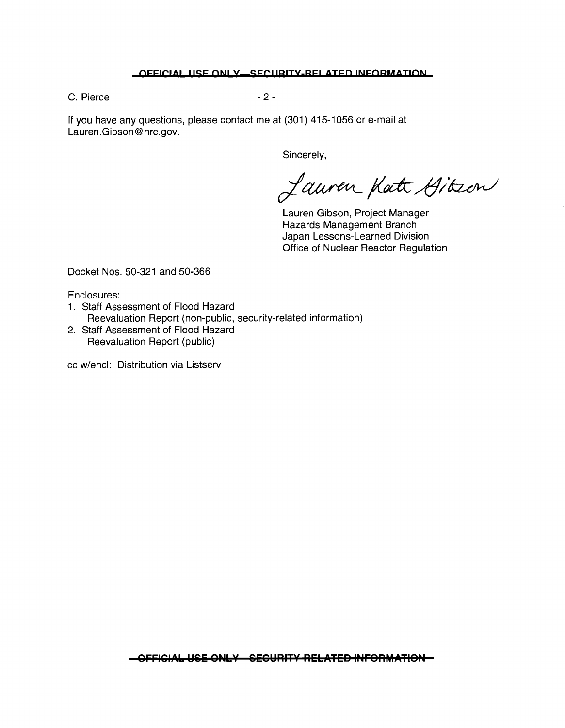#### **OFFICIAL USE ONLY-SECURITY-RELATED INFORMATION**

C. Pierce - 2 -

If you have any questions, please contact me at (301) 415-1056 or e-mail at Lauren.Gibson@nrc.gov.

Sincerely,

Lauren Katt Gitzen

Lauren Gibson, Project Manager Hazards Management Branch Japan Lessons-Learned Division Office of Nuclear Reactor Regulation

Docket Nos. 50-321 and 50-366

Enclosures:

- 1. Staff Assessment of Flood Hazard Reevaluation Report (non-public, security-related information)
- 2. Staff Assessment of Flood Hazard Reevaluation Report (public)

cc w/encl: Distribution via Listserv

**OFFICIAL USE ONLY-SECURITY-RELATED INFORMATION**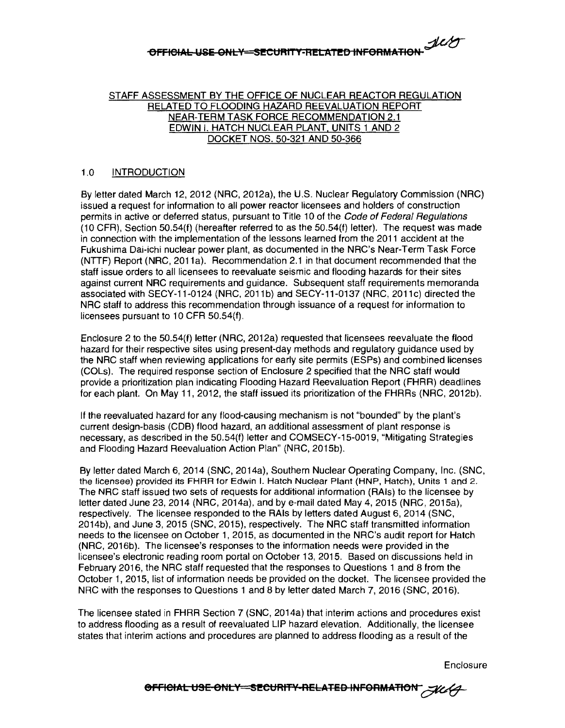# **OFFICIAL USE ONLY SECURITY-RELATED INFORMATION**

#### STAFF ASSESSMENT BY THE OFFICE OF NUCLEAR REACTOR REGULATION RELATED TO FLOODING HAZARD REEVALUATION REPORT NEAR-TERM TASK FORCE RECOMMENDATION 2.1 EDWIN I. HATCH NUCLEAR PLANT. UNITS 1 AND 2 DOCKET NOS. 50-321 AND 50-366

#### 1.0 INTRODUCTION

By letter dated March 12, 2012 (NRC, 2012a), the U.S. Nuclear Regulatory Commission (NRC) issued a request for information to all power reactor licensees and holders of construction permits in active or deferred status, pursuant to Title 10 of the Code of Federal Regulations  $(10 \text{ CFR})$ , Section 50.54(f) (hereafter referred to as the 50.54(f) letter). The request was made in connection with the implementation of the lessons learned from the 2011 accident at the Fukushima Dai-ichi nuclear power plant, as documented in the NRC's Near-Term Task Force (NTIF) Report (NRC, 2011a). Recommendation 2.1 in that document recommended that the staff issue orders to all licensees to reevaluate seismic and flooding hazards for their sites against current NRC requirements and guidance. Subsequent staff requirements memoranda associated with SECY-11-0124 (NRC, 2011b) and SECY-11-0137 (NRC, 2011c) directed the NRC staff to address this recommendation through issuance of a request for information to licensees pursuant to 10 CFR 50.54(f).

Enclosure 2 to the 50.54(f) letter (NRC, 2012a) requested that licensees reevaluate the flood hazard for their respective sites using present-day methods and regulatory guidance used by the NRC staff when reviewing applications for early site permits (ESPs) and combined licenses (COLs). The required response section of Enclosure 2 specified that the NRC staff would provide a prioritization plan indicating Flooding Hazard Reevaluation Report **(FHRR)** deadlines for each plant. On May 11, 2012, the staff issued its prioritization of the FHRRs (NRC, 2012b).

If the reevaluated hazard for any flood-causing mechanism is not "bounded" by the plant's current design-basis (CDB) flood hazard, an additional assessment of plant response is necessary, as described in the 50.54(f) letter and COMSECY-15-0019, "Mitigating Strategies and Flooding Hazard Reevaluation Action Plan" (NRC, 2015b).

By letter dated March 6, 2014 (SNC, 2014a), Southern Nuclear Operating Company, Inc. (SNC, the licensee) provided its FHRR for Edwin I. Hatch Nuclear Plant (HNP, Hatch), Units 1 and 2. The NRC staff issued two sets of requests for additional information (RAls) to the licensee by letter dated June 23, 2014 (NRC, 2014a), and by e-mail dated May 4, 2015 (NRC, 2015a). respectively. The licensee responded to the RAls by letters dated August 6, 2014 (SNC, 2014b), and June 3, 2015 (SNC, 2015), respectively. The NRC staff transmitted information needs to the licensee on October 1, 2015, as documented in the NRC's audit report for Hatch (NRC, 2016b). The licensee's responses to the information needs were provided in the licensee's electronic reading room portal on October 13, 2015. Based on discussions held in February 2016, the NRG staff requested that the responses to Questions 1 and 8 from the October 1, 2015, list of information needs be provided on the docket. The licensee provided the NRG with the responses to Questions 1 and 8 by letter dated March 7, 2016 (SNG, 2016).

The licensee stated in FHRR Section 7 (SNC, 2014a) that interim actions and procedures exist to address flooding as a result of reevaluated LIP hazard elevation. Additionally, the licensee states that interim actions and procedures are planned to address flooding as a result of the

Enclosure

**8FFICIAL USE ONLY-SECURITY-RELATED INFORMATION**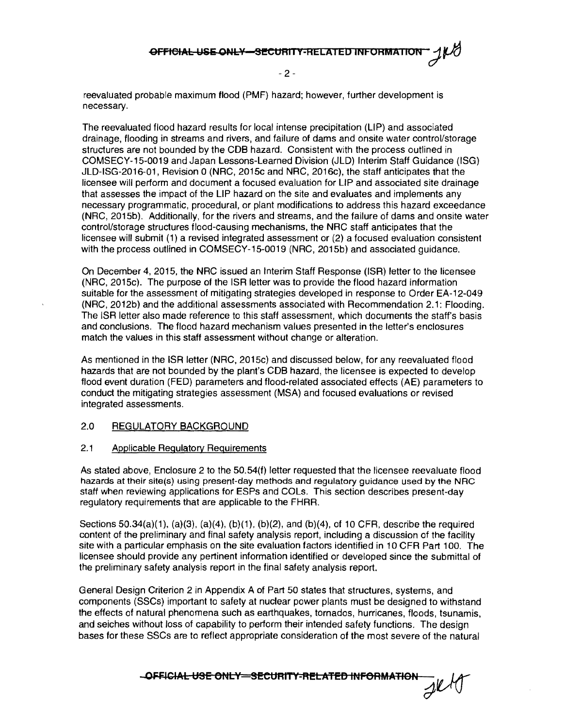- 2 -

reevaluated probable maximum flood (PMF) hazard; however, further development is necessary.

The reevaluated flood hazard results for local intense precipitation (LIP) and associated drainage, flooding in streams and rivers, and failure of dams and onsite water control/storage structures are not bounded by the COB hazard. Consistent with the process outlined in COMSECY-15-0019 and Japan Lessons-Learned Division (JLD) Interim Staff Guidance (ISG) JLD-ISG-2016-01, Revision O (NRC, 2015c and NRC, 2016c), the staff anticipates that the licensee will perform and document a focused evaluation for LIP and associated site drainage that assesses the impact of the LIP hazard on the site and evaluates and implements any necessary programmatic, procedural, or plant modifications to address this hazard exceedance (NRC, 2015b). Additionally, for the rivers and streams, and the failure of dams and onsite water control/storage structures flood-causing mechanisms, the NRC staff anticipates that the licensee will submit (1) a revised integrated assessment or (2) a focused evaluation consistent with the process outlined in COMSECY-15-0019 (NRC, 2015b) and associated guidance.

On December 4, 2015, the NRC issued an Interim Staff Response (ISR) letter to the licensee (NRC, 2015c). The purpose of the ISR letter was to provide the flood hazard information suitable for the assessment of mitigating strategies developed in response to Order EA-12-049 (NRC, 2012b) and the additional assessments associated with Recommendation 2.1: Flooding. The ISR letter also made reference to this staff assessment, which documents the staff's basis and conclusions. The flood hazard mechanism values presented in the letter's enclosures match the values in this staff assessment without change or alteration.

As mentioned in the ISR letter (NRC, 2015c) and discussed below, for any reevaluated flood hazards that are not bounded by the plant's COB hazard, the licensee is expected to develop flood event duration (FED) parameters and flood-related associated effects (AE) parameters to conduct the mitigating strategies assessment (MSA) and focused evaluations or revised integrated assessments.

#### 2.0 REGULATORY BACKGROUND

#### 2.1 Applicable Regulatory Requirements

As stated above, Enclosure 2 to the 50.54(f) letter requested that the licensee reevaluate flood hazards at their site(s) using present-day methods and regulatory guidance used by the NRC staff when reviewing applications for ESPs and COLs. This section describes present-day regulatory requirements that are applicable to the FHRR.

Sections 50.34(a)(1), (a)(3), (a)(4), (b)(1), (b)(2), and (b)(4), of 10 CFR, describe the required content of the preliminary and final safety analysis report, including a discussion of the facility site with a particular emphasis on the site evaluation factors identified in 10 CFR Part 100. The licensee should provide any pertinent information identified or developed since the submittal of the preliminary safety analysis report in the final safety analysis report.

General Design Criterion 2 in Appendix A of Part 50 states that structures, systems, and components (SSCs) important to safety at nuclear power plants must be designed to withstand the effects of natural phenomena such as earthquakes, tornados, hurricanes, floods, tsunamis, and seiches without loss of capability to perform their intended safety functions. The design bases for these SSCs are to reflect appropriate consideration of the most severe of the natural

**-OFFICIAL USE ONLY SECURITY-RELATED INFORMATION**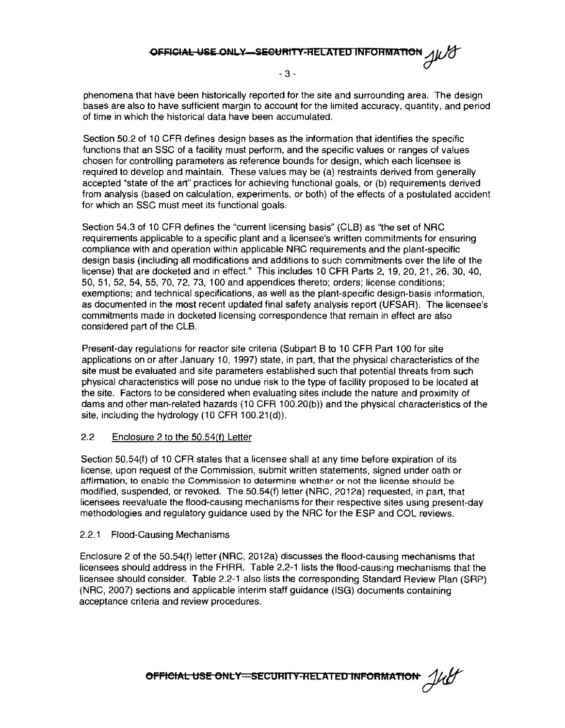### **OFFICIAL USE ONLY SECURITY-RELATED INFORMATION**

- 3 -

phenomena that have been historically reported for the site and surrounding area. The design bases are also to have sufficient margin to account for the limited accuracy, quantity, and period of time in which the historical data have been accumulated.

Section 50.2 of 10 CFR defines design bases as the information that identifies the specific functions that an SSC of a facility must perform, and the specific values or ranges of values chosen for controlling parameters as reference bounds for design, which each licensee is required to develop and maintain. These values may be (a) restraints derived from generally accepted "state of the art" practices for achieving functional goals, or (b) requirements derived from analysis (based on calculation, experiments, or both) of the effects of a postulated accident for which an SSC must meet its functional goals.

Section 54.3 of 10 CFR defines the "current licensing basis" (CLB) as "the set of NRC requirements applicable to a specific plant and a licensee's written commitments for ensuring compliance with and operation within applicable NRC requirements and the plant-specific design basis (including all modifications and additions to such commitments over the life of the license) that are docketed and in effect." This includes 10 CFR Parts 2, 19, 20, 21, 26, 30, 40, 50, 51, 52, 54, 55, 70, 72, 73, 100 and appendices thereto; orders; license conditions; exemptions; and technical specifications, as well as the plant-specific design-basis information, as documented in the most recent updated final safety analysis report (UFSAR). The licensee's commitments made in docketed licensing correspondence that remain in effect are also considered part of the CLB.

Present-day regulations for reactor site criteria (Subpart B to 10 CFR Part 100 for site applications on or after January 10, 1997) state, in part, that the physical characteristics of the site must be evaluated and site parameters established such that potential threats from such physical characteristics will pose no undue risk to the type of facility proposed to be located at the site. Factors to be considered when evaluating sites include the nature and proximity of dams and other man-related hazards (10 CFR 100.20(b)) and the physical characteristics of the site, including the hydrology (10 CFR 100.21(d)).

#### 2.2 Enclosure 2 to the 50.54(f) Letter

Section 50.54(f) of 10 CFR states that a licensee shall at any time before expiration of its license, upon request of the Commission, submit written statements, signed under oath or affirmation, to enable the Commission to determine whether or not the license should be modified, suspended, or revoked. The 50.54(f) letter (NRG, 2012a) requested, in part, that licensees reevaluate the flood-causing mechanisms for their respective sites using present-day methodologies and regulatory guidance used by the NRC for the ESP and COL reviews.

#### 2.2.1 Flood-Causing Mechanisms

Enclosure 2 of the 50.54(f) letter (NRC, 2012a) discusses the flood-causing mechanisms that licensees should address in the FHRR. Table 2.2-1 lists the flood-causing mechanisms that the licensee should consider. Table 2.2-1 also lists the corresponding Standard Review Plan (SAP) (NRC, 2007) sections and applicable interim staff guidance (ISG) documents containing acceptance criteria and review procedures.

**6FFICIAL USE ONLY SECURITY-RELATED INFORMATION**  $\frac{1}{\mu}$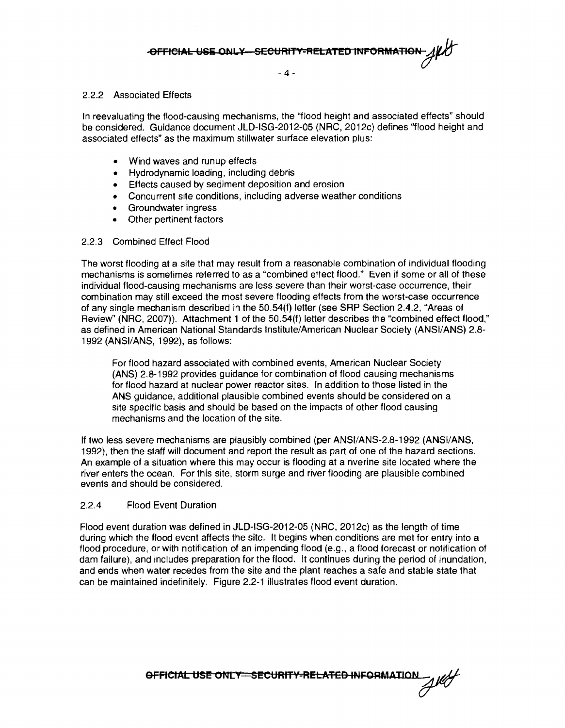- 4 -

#### 2.2.2 Associated Effects

In reevaluating the flood-causing mechanisms, the "flood height and associated effects" should be considered. Guidance document JLD-ISG-2012-05 (NRC, 2012c} defines ''flood height and associated effects" as the maximum Stillwater surtace elevation plus:

- Wind waves and runup effects
- Hydrodynamic loading, including debris
- Effects caused by sediment deposition and erosion
- Concurrent site conditions, including adverse weather conditions
- Groundwater ingress
- Other pertinent factors

#### 2.2.3 Combined Effect Flood

The worst flooding at a site that may result from a reasonable combination of individual flooding mechanisms is sometimes referred to as a "combined effect flood." Even if some or all of these individual flood-causing mechanisms are less severe than their worst-case occurrence, their combination may still exceed the most severe flooding effects from the worst-case occurrence of any single mechanism described in the 50.54(f) letter (see SRP Section 2.4.2, "Areas of Review" (NRC, 2007)). Attachment 1 of the 50.54(f) letter describes the "combined effect flood," as defined in American National Standards Institute/American Nuclear Society (ANSI/ANS) 2.8- 1992 (ANSI/ANS, 1992), as follows:

For flood hazard associated with combined events, American Nuclear Society (ANS) 2.8-1992 provides guidance for combination of flood causing mechanisms for flood hazard at nuclear power reactor sites. In addition to those listed in the ANS guidance, additional plausible combined events should be considered on a site specific basis and should be based on the impacts of other flood causing mechanisms and the location of the site.

If two less severe mechanisms are plausibly combined (per ANSl/ANS-2.8-1992 (ANSI/ANS, 1992), then the staff will document and report the result as part of one of the hazard sections. An example of a situation where this may occur is flooding at a riverine site located where the river enters the ocean. For this site. storm surge and river flooding are plausible combined events and should be considered.

#### 2.2.4 Flood Event Duration

Flood event duration was defined in JLD-ISG-2012-05 (NRC, 2012c) as the length of time during which the flood event affects the site. It begins when conditions are met for entry into a flood procedure, or with notification of an impending flood (e.g., a flood forecast or notification of dam failure), and includes preparation for the flood. It continues during the period of inundation, and ends when water recedes from the site and the plant reaches a safe and stable state that can be maintained indefinitely. Figure 2.2-1 illustrates flood event duration.

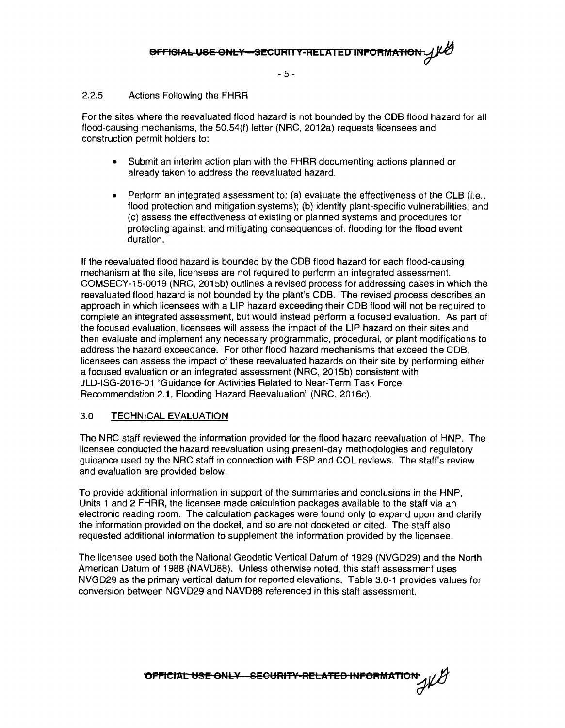- 5 -

#### 2.2.5 Actions Following the FHRR

For the sites where the reevaluated flood hazard is not bounded by the COB flood hazard for all flood-causing mechanisms, the 50.54(f) letter (NRC, 2012a) requests licensees and construction permit holders to:

- Submit an interim action plan with the FHRR documenting actions planned or already taken to address the reevaluated hazard.
- Perform an integrated assessment to: (a) evaluate the effectiveness of the CLB (Le., flood protection and mitigation systems); (b) identify plant-specific vulnerabilities; and (c) assess the effectiveness of existing or planned systems and procedures for protecting against, and mitigating consequences of, flooding for the flood event duration.

If the reevaluated flood hazard is bounded by the COB flood hazard for each flood-causing mechanism at the site, licensees are not required to perform an integrated assessment. COMSECY-15-0019 (NRC, 2015b) outlines a revised process for addressing cases in which the reevaluated flood hazard is not bounded by the plant's COB. The revised process describes an approach in which licensees with a LIP hazard exceeding their COB flood will not be required to complete an integrated assessment, but would instead perform a focused evaluation. As part of the focused evaluation, licensees will assess the impact of the LIP hazard on their sites and then evaluate and implement any necessary programmatic, procedural, or plant modifications to address the hazard exceedance. For other flood hazard mechanisms that exceed the COB, licensees can assess the impact of these reevaluated hazards on their site by performing either a focused evaluation or an integrated assessment (NRC, 2015b) consistent with JLD-ISG-2016-01 "Guidance for Activities Related to Near-Term Task Force Recommendation 2.1, Flooding Hazard Reevaluation" (NRC, 2016c}.

#### 3.0 TECHNICAL EVALUATION

The NRC staff reviewed the information provided for the flood hazard reevaluation of HNP. The licensee conducted the hazard reevaluation using present-day methodologies and regulatory guidance used by the NRC staff in connection with ESP and COL reviews. The staff's review and evaluation are provided below.

To provide additional information in support of the summaries and conclusions in the HNP, Units 1 and 2 FHRR, the licensee made calculation packages available to the staff via an electronic reading room. The calculation packages were found only to expand upon and clarify the information provided on the docket, and so are not docketed or cited. The staff also requested additional information to supplement the information provided by the licensee.

The licensee used both the National Geodetic Vertical Datum of 1929 (NVGD29) and the North American Datum of 1988 (NAVD88}. Unless otherwise noted, this staff assessment uses NVGD29 as the primary vertical datum for reported elevations. Table 3.0-1 provides values for conversion between NGVD29 and NAV088 referenced in this staff assessment.

OFFICIAL USE ONLY SECURITY-RELATED INFORMATION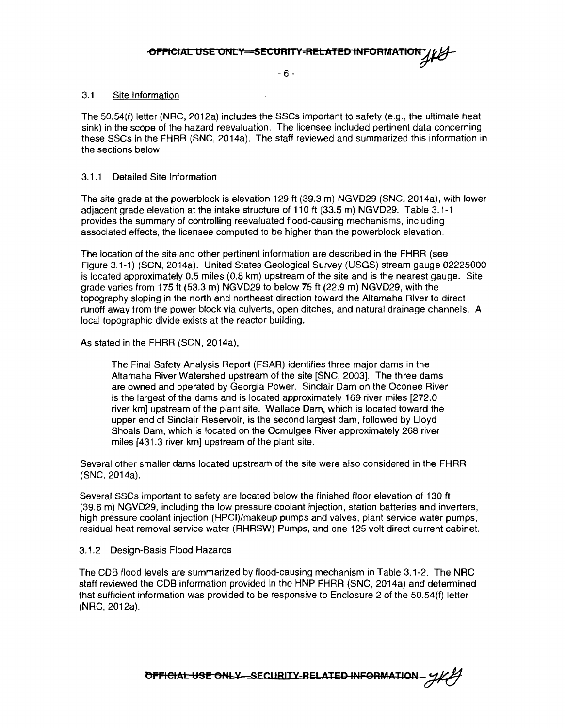- 6 -

#### 3.1 Site Information

The 50.54(f) letter (NRC, 2012a) includes the SSCs important to safety (e.g., the ultimate heat sink) in the scope of the hazard reevaluation. The licensee included pertinent data concerning these SSCs in the FHRR (SNC, 2014a). The staff reviewed and summarized this information in the sections below.

#### 3.1.1 Detailed Site Information

The site grade at the powerblock is elevation 129 ft (39.3 m) NGVD29 (SNC, 2014a), with lower adjacent grade elevation at the intake structure of 110 ft (33.5 m) NGVD29. Table 3.1-1 provides the summary of controlling reevaluated flood-causing mechanisms, including associated effects, the licensee computed to be higher than the powerblock elevation.

The location of the site and other pertinent information are described in the FHRR (see Figure 3.1-1) (SCN, 2014a). United States Geological Survey (USGS) stream gauge 02225000 is located approximately 0.5 miles (0.8 km) upstream of the site and is the nearest gauge. Site grade varies from 175 ft (53.3 m) NGVD29 to below 75 ft (22.9 m) NGVD29, with the topography sloping in the north and northeast direction toward the Altamaha River to direct runoff away from the power block via culverts, open ditches, and natural drainage channels. A local topographic divide exists at the reactor building.

As stated in the FHRR (SCN, 2014a),

The Final Safety Analysis Report (FSAR) identifies three major dams in the Altamaha River Watershed upstream of the site [SNC, 2003]. The three dams are owned and operated by Georgia Power. Sinclair Darn on the Oconee River is the largest of the dams and is located approximately 169 river miles [272.0] river km] upstream of the plant site. Wallace Dam, which is located toward the upper end of Sinclair Reservoir, is the second largest dam, followed by Lloyd Shoals Dam, which is located on the Ocmulgee River approximately 268 river miles [431.3 river km] upstream of the plant site.

Several other smaller dams located upstream of the site were also considered in the FHRR (SNC, 2014a).

Several SSCs important to safety are located below the finished floor elevation of 130 ft (39.6 rn) NGVD29, including the low pressure coolant injection, station batteries and inverters, high pressure coolant injection (HPCI)/makeup pumps and valves, plant service water pumps, residual heat removal service water (RHRSW) Pumps, and one 125 volt direct current cabinet.

#### 3.1.2 Design-Basis Flood Hazards

The COB flood levels are summarized by flood-causing mechanism in Table 3.1-2. The NRG staff reviewed the COB information provided in the HNP FHRR (SNG, 2014a) and determined that sufficient information was provided to be responsive to Enclosure 2 of the 50.54(f) letter (NRG, 2012a).

OFFICIAL USE ONLY SECURITY-RELATED INFORMATION -  $212$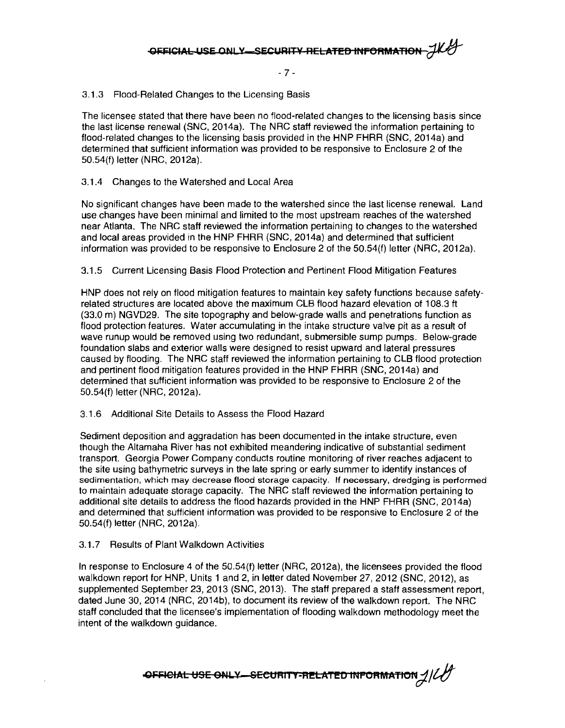- 7 -

3.1.3 Flood-Related Changes to the Licensing Basis

The licensee stated that there have been no flood-related changes to the licensing basis since the last license renewal (SNC, 2014a). The NRC staff reviewed the information pertaining to flood-related changes to the licensing basis provided in the HNP FHRR (SNC, 2014a) and determined that sufficient information was provided to be responsive to Enclosure 2 of the 50.54(f) letter (NRC, 2012a).

#### 3.1.4 Changes to the Watershed and Local Area

No significant changes have been made to the watershed since the last license renewal. Land use changes have been minimal and limited to the most upstream reaches of the watershed near Atlanta. The NRC staff reviewed the information pertaining to changes to the watershed and local areas provided in the HNP FHRR (SNC, 2014a) and determined that sufficient information was provided to be responsive to Enclosure 2 of the 50.54(f) letter (NRC, 2012a).

#### 3.1.5 Current Licensing Basis Flood Protection and Pertinent Flood Mitigation Features

HNP does not rely on flood mitigation features to maintain key safety functions because safetyrelated structures are located above the maximum CLB flood hazard elevation of 108.3 ft (33.0 m) NGVD29. The site topography and below-grade walls and penetrations function as flood protection features. Water accumulating in the intake structure valve pit as a result of wave runup would be removed using two redundant, submersible sump pumps. Below-grade foundation slabs and exterior walls were designed to resist upward and lateral pressures caused by flooding. The NRC staff reviewed the information pertaining to CLB flood protection and pertinent flood mitigation features provided in the HNP FHRR (SNC, 2014a) and determined that sufficient information was provided to be responsive to Enclosure 2 of the 50.54(f) letter (NRC, 2012a).

#### 3.1.6 Additional Site Details to Assess the Flood Hazard

Sediment deposition and aggradation has been documented in the intake structure, even though the Altamaha River has not exhibited meandering indicative of substantial sediment transport. Georgia Power Company conducts routine monitoring of river reaches adjacent to the site using bathymetric surveys in the late spring or early summer to identify instances of sedimentation, which may decrease flood storage capacity. If necessary, dredging is performed to maintain adequate storage capacity. The NRC staff reviewed the information pertaining to additional site details to address the flood hazards provided in the HNP FHRR (SNC, 2014a) and determined that sufficient information was provided to be responsive to Enclosure 2 of the 50.54(f) letter (NRC, 2012a).

#### 3.1.7 Results of Plant Walkdown Activities

In response to Enclosure 4 of the 50.54(f) letter (NRC, 2012a), the licensees provided the flood walkdown report for HNP, Units 1 and 2, in letter dated November 27, 2012 (SNC, 2012), as supplemented September 23, 2013 (SNC, 2013). The staff prepared a staff assessment report, dated June 30, 2014 (NRC, 2014b), to document its review of the walkdown report. The NRC staff concluded that the licensee's implementation of flooding walkdown methodology meet the intent of the walkdown guidance.

**OFFICIAL USE ONLY-SECURITY-RELATED INPORMATION**  $\frac{1}{t}$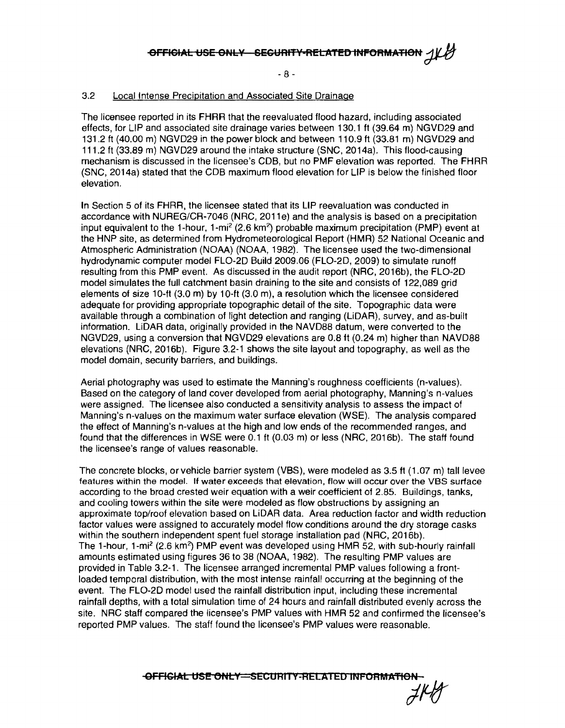- 8 -

#### 3.2 Local Intense Precipitation and Associated Site Drainage

The licensee reported in its FHRR that the reevaluated flood hazard, including associated effects, for LIP and associated site drainage varies between 130.1 ft (39.64 m) NGVD29 and 131.2 ft (40.00 m) NGVD29 in the power block and between 110.9 ft (33.81 m) NGVD29 and 111.2 ft (33.89 m) NGVD29 around the intake structure (SNC, 2014a). This flood-causing mechanism is discussed in the licensee's COB, but no PMF elevation was reported. The FHRR (SNC, 2014a) stated that the COB maximum flood elevation for LIP is below the finished floor elevation.

In Section 5 of its FHRR, the licensee stated that its LIP reevaluation was conducted in accordance with NUREG/CR-7046 (NRC, 2011e) and the analysis is based on a precipitation input equivalent to the 1-hour, 1-mi<sup>2</sup> (2.6 km<sup>2</sup>) probable maximum precipitation (PMP) event at the HNP site, as determined from Hydrometeorological Report (HMR) 52 National Oceanic and Atmospheric Administration (NOAA) (NOAA, 1982). The licensee used the two-dimensional hydrodynamic computer model FL0-20 Build 2009.06 (FL0-20, 2009) to simulate runoff resulting from this PMP event. As discussed in the audit report (NRC, 2016b), the FL0-20 model simulates the full catchment basin draining to the site and consists of 122,089 grid elements of size 10-ft (3.0 m) by 10-ft (3.0 m), a resolution which the licensee considered adequate for providing appropriate topographic detail of the site. Topographic data were available through a combination of light detection and ranging (LiDAR), survey, and as-built information. LiDAR data, originally provided in the NAVD88 datum, were converted to the NGVD29, using a conversion that NGVD29 elevations are 0.8 ft (0.24 m) higher than NAVD88 elevations (NRC, 2016b). Figure 3.2-1 shows the site layout and topography, as well as the model domain, security barriers, and buildings.

Aerial photography was used to estimate the Manning's roughness coefficients (n-values). Based on the category of land cover developed from aerial photography, Manning's n-values were assigned. The licensee also conducted a sensitivity analysis to assess the impact of Manning's n-values on the maximum water surface elevation (WSE). The analysis compared the effect of Manning's n-values at the high and low ends of the recommended ranges, and found that the differences in WSE were 0.1 ft (0.03 m) or less (NRC, 2016b). The staff found the licensee's range of values reasonable.

The concrete blocks, or vehicle barrier system (VBS), were modeled as 3.5 ft (1.07 m) tall levee features within the model. If water exceeds that elevation, flow will occur over the VBS surface according to the broad crested weir equation with a weir coefficient of 2.85. Buildings, tanks, and cooling towers within the site were modeled as flow obstructions by assigning an approximate top/roof elevation based on LiDAR data. Area reduction factor and width reduction factor values were assigned to accurately model flow conditions around the dry storage casks within the southern independent spent fuel storage installation pad (NRC, 2016b). The 1-hour, 1-mi<sup>2</sup> (2.6 km<sup>2</sup>) PMP event was developed using HMR 52, with sub-hourly rainfall amounts estimated using figures 36 to 38 (NOAA, 1982). The resulting PMP values are provided in Table 3.2-1. The licensee arranged incremental PMP values following a frontloaded temporal distribution, with the most intense rainfall occurring at the beginning of the event. The FL0-20 model used the rainfall distribution input, including these incremental rainfall depths, with a total simulation time of 24 hours and rainfall distributed evenly across the site. NRC staff compared the licensee's PMP values with HMR 52 and confirmed the licensee's reported PMP values. The staff found the licensee's PMP values were reasonable.

**-OFFIGIAL USE ONLY=SECURITY-RELATED INFORMATION**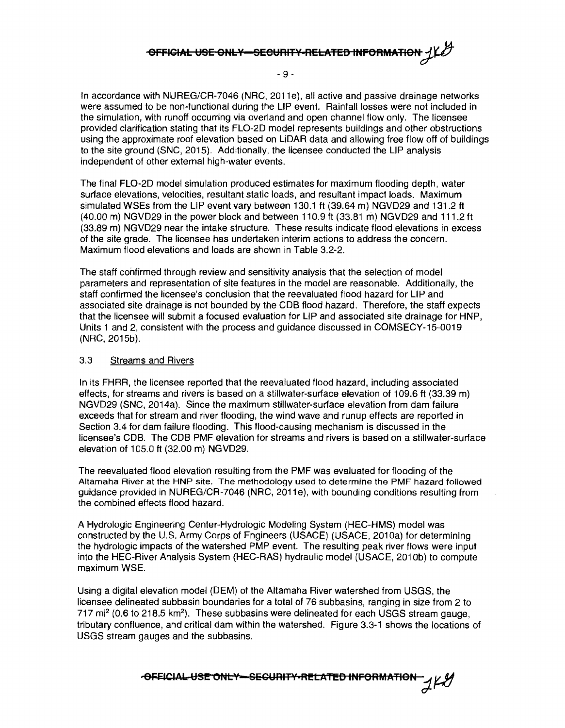## **OFFICIAL USE ONLY-SECURITY-RELATED INFORMATION**

- 9 -

In accordance with NUREG/CR-7046 (NRC, 2011e), all active and passive drainage networks were assumed to be non-functional during the LIP event. Rainfall losses were not included in the simulation, with runoff occurring via overland and open channel flow only. The licensee provided clarification stating that its FL0-20 model represents buildings and other obstructions using the approximate roof elevation based on LiDAR data and allowing free flow off of buildings to the site ground (SNC, 2015). Additionally, the licensee conducted the LIP analysis independent of other external high-water events.

The final FL0-20 model simulation produced estimates for maximum flooding depth, water surface elevations, velocities, resultant static loads, and resultant impact loads. Maximum simulated WSEs from the LIP event vary between 130.1 ft (39.64 m) NGVD29 and 131.2 ft (40.00 m) NGVD29 in the power block and between 110.9 ft (33.81 m) NGVD29 and 111.2 ft (33.89 m) NGVD29 near the intake structure. These results indicate flood elevations in excess of the site grade. The licensee has undertaken interim actions to address the concern. Maximum flood elevations and loads are shown in Table 3.2-2.

The staff confirmed through review and sensitivity analysis that the selection of model parameters and representation of site features in the model are reasonable. Additionally, the staff confirmed the licensee's conclusion that the reevaluated flood hazard for LIP and associated site drainage is not bounded by the CDB flood hazard. Therefore, the staff expects that the licensee will submit a focused evaluation for LIP and associated site drainage for HNP, Units 1 and 2, consistent with the process and guidance discussed in COMSECY-15-0019 (NRC, 2015b).

#### 3.3 Streams and Rivers

In its FHRR, the licensee reported that the reevaluated flood hazard, including associated effects, for streams and rivers is based on a stillwater-surface elevation of 109.6 ft (33.39 m) NGVD29 (SNC, 2014a). Since the maximum stillwater-surface elevation from dam failure exceeds that for stream and river flooding, the wind wave and runup effects are reported in Section 3.4 for dam failure flooding. This flood-causing mechanism is discussed in the licensee's COB. The CDB PMF elevation for streams and rivers is based on a stillwater-surface elevation of 105.0 ft (32.00 m) NGVD29.

The reevaluated flood elevation resulting from the PMF was evaluated for flooding of the Altamaha River at the HNP site. The methodology used to determine the PMF hazard followed guidance provided in NUREG/CR-7046 (NRC, 2011 e), with bounding conditions resulting from the combined effects flood hazard.

A Hydrologic Engineering Center-Hydrologic Modeling System (HEC-HMS) model was constructed by the U.S. Army Corps of Engineers (USAGE) (USAGE, 2010a) for determining the hydrologic impacts of the watershed PMP event. The resulting peak river flows were input into the HEC-River Analysis System (HEC-RAS) hydraulic model (USACE, 2010b) to compute maximum WSE.

Using a digital elevation model (DEM) of the Altamaha River watershed from USGS, the licensee delineated subbasin boundaries for a total of 76 subbasins, ranging in size from 2 to 717 mi<sup>2</sup> (0.6 to 218.5 km<sup>2</sup>). These subbasins were delineated for each USGS stream gauge, tributary confluence, and critical dam within the watershed. Figure 3.3-1 shows the locations of USGS stream gauges and the subbasins.

**AFFICIAL USE ONLY-SECURITY-RELATED INFORMATION**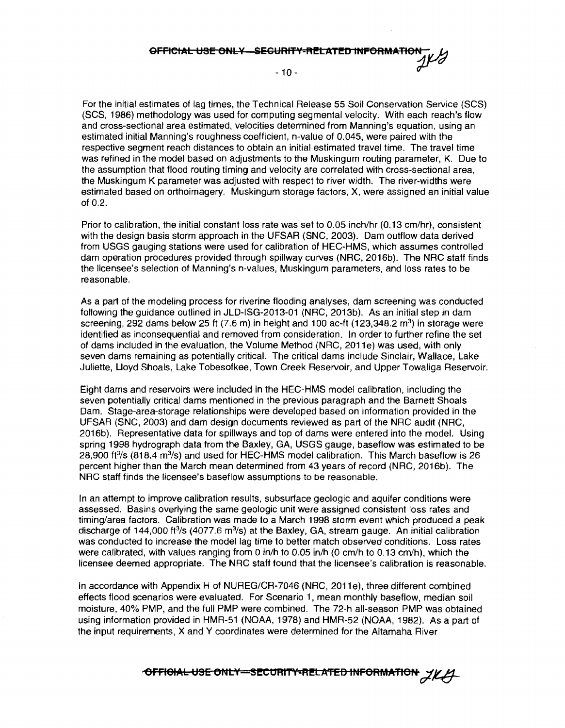**OFFICIAL USE ONLY—SEGURITY-RELATED INFORMATION**<br>1K/0

 $-10-$ 

For the initial estimates of lag times, the Technical Release 55 Soil Conservation Service (SCS) (SCS, 1986) methodology was used for computing segmental velocity. With each reach's flow and cross-sectional area estimated, velocities determined from Manning's equation, using an estimated initial Manning's roughness coefficient, n-value of 0.045, were paired with the respective segment reach distances to obtain an initial estimated travel time. The travel time was refined in the model based on adjustments to the Muskingum routing parameter, K. Due to the assumption that flood routing timing and velocity are correlated with cross-sectional area, the Muskingum K parameter was adjusted with respect to river width. The river-widths were estimated based on orthoimagery. Muskingum storage factors, X, were assigned an initial value of 0.2.

Prior to calibration, the initial constant loss rate was set to 0.05 inch/hr (0.13 cm/hr), consistent with the design basis storm approach in the UFSAR (SNC, 2003). Dam outflow data derived from USGS gauging stations were used for calibration of HEC-HMS, which assumes controlled dam operation procedures provided through spillway curves (NRC, 2016b). The NRC staff finds the licensee's selection of Manning's n-values, Muskingum parameters, and loss rates to be reasonable.

As a part of the modeling process for riverine flooding analyses, dam screening was conducted following the guidance outlined in JLD-ISG-2013-01 (NRC, 2013b). As an initial step in dam screening, 292 dams below 25 ft  $(7.6 \text{ m})$  in height and 100 ac-ft  $(123.348.2 \text{ m}^3)$  in storage were identified as inconsequential and removed from consideration. In order to further refine the set of dams included in the evaluation, the Volume Method (NRC, 2011e) was used, with only seven dams remaining as potentially critical. The critical dams include Sinclair, Wallace, Lake Juliette, Lloyd Shoals, Lake Tobesofkee, Town Creek Reservoir, and Upper Towaliga Reservoir.

Eight dams and reservoirs were included in the HEC-HMS model calibration, including the seven potentially critical dams mentioned in the previous paragraph and the Barnett Shoals Dam. Stage-area-storage relationships were developed based on information provided in the UFSAR (SNC, 2003) and dam design documents reviewed as part of the NRC audit (NRC, 2016b). Representative data for spillways and top of dams were entered into the model. Using spring 1998 hydrograph data from the Baxley, GA, USGS gauge, baseflow was estimated to be 28,900 ft $3/$ s (818.4 m $3/$ s) and used for HEC-HMS model calibration. This March baseflow is 26 percent higher than the March mean determined from 43 years of record (NRC, 2016b). The NRC staff finds the licensee's baseflow assumptions to be reasonable.

In an attempt to improve calibration results, subsurface geologic and aquifer conditions were assessed. Basins overlying the same geologic unit were assigned consistent loss rates and timing/area factors. Calibration was made to a March 1998 storm event which produced a peak discharge of 144,000 ft<sup>3</sup>/s (4077.6 m<sup>3</sup>/s) at the Baxley, GA, stream gauge. An initial calibration was conducted to increase the model lag time to better match observed conditions. Loss rates were calibrated, with values ranging from O in/h to 0.05 in/h (0 cm/h to 0.13 cm/h), which the licensee deemed appropriate. The NRC staff found that the licensee's calibration is reasonable.

In accordance with Appendix H of NUREG/CR-7046 (NRC, 2011e), three different combined effects flood scenarios were evaluated. For Scenario 1, mean monthly baseflow, median soil moisture, 40% PMP, and the full PMP were combined. The 72-h all-season PMP was obtained using information provided in HMR-51 (NOAA, 1978) and HMR-52 (NOAA, 1982). As a part of the input requirements, X and Y coordinates were determined for the Altamaha River

**for FIGIAL USE ONLY-SECURITY-RELATED INFORMATION**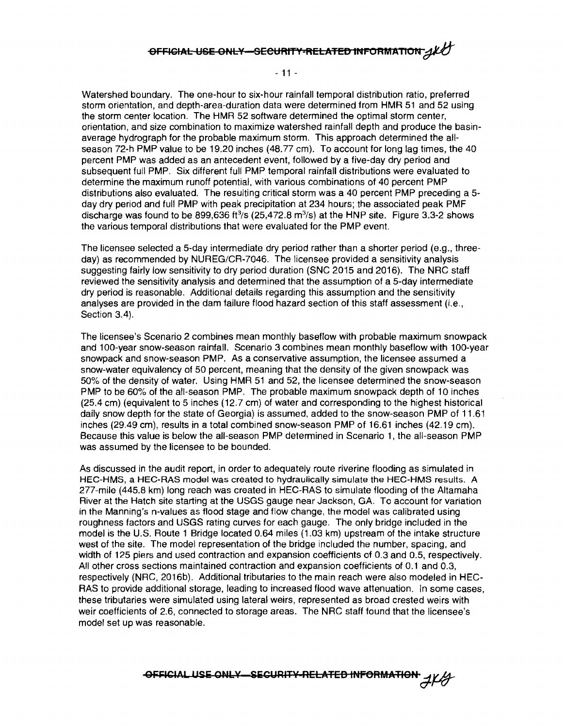### **9FFIGIAL USE ONLY-SECURITY-RELATED INFORMATION 4KU**

- 11 -

Watershed boundary. The one-hour to six-hour rainfall temporal distribution ratio, preferred storm orientation, and depth-area-duration data were determined from HMR 51 and 52 using the storm center location. The HMR 52 software determined the optimal storm center, orientation, and size combination to maximize watershed rainfall depth and produce the basinaverage hydrograph for the probable maximum storm. This approach determined the allseason 72-h PMP value to be 19.20 inches (48.77 cm). To account for long lag times, the 40 percent PMP was added as an antecedent event, followed by a five-day dry period and subsequent full PMP. Six different full PMP temporal rainfall distributions were evaluated to determine the maximum runoff potential, with various combinations of 40 percent PMP distributions also evaluated. The resulting critical storm was a 40 percent PMP preceding a 5 day dry period and full PMP with peak precipitation at 234 hours; the associated peak PMF discharge was found to be 899,636 ft<sup>3</sup>/s (25,472.8 m<sup>3</sup>/s) at the HNP site. Figure 3.3-2 shows the various temporal distributions that were evaluated for the PMP event.

The licensee selected a 5-day intermediate dry period rather than a shorter period (e.g., threeday) as recommended by NUREG/GR-7046. The licensee provided a sensitivity analysis suggesting fairly low sensitivity to dry period duration (SNG 2015 and 2016). The NRG staff reviewed the sensitivity analysis and determined that the assumption of a 5-day intermediate dry period is reasonable. Additional details regarding this assumption and the sensitivity analyses are provided in the dam failure flood hazard section of this staff assessment (i.e., Section 3.4).

The licensee's Scenario 2 combines mean monthly basef!ow with probable maximum snowpack and 100-year snow-season rainfall. Scenario 3 combines mean monthly baseflow with 100-year snowpack and snow-season PMP. As a conservative assumption, the licensee assumed a snow-water equivalency of 50 percent, meaning that the density of the given snowpack was 50% of the density of water. Using HMR 51 and 52, the licensee determined the snow-season PMP to be 60% of the all-season PMP. The probable maximum snowpack depth of 10 inches (25.4 cm) (equivalent to 5 inches (12.7 cm) of water and corresponding to the highest historical daily snow depth for the state of Georgia) is assumed. added to the snow-season PMP of 11.61 inches (29.49 cm), results in a total combined snow-season PMP of 16.61 inches (42.19 cm). Because this value is below the all-season PMP determined in Scenario 1, the all-season PMP was assumed by the licensee to be bounded.

As discussed in the audit report, in order to adequately route riverine flooding as simulated in HEC-HMS, a HEC-RAS model was created to hydraulically simulate the HEC-HMS results. A 277-mile (445.8 km) long reach was created in HEC-RAS to simulate flooding of the Altamaha River at the Hatch site starting at the USGS gauge near Jackson, GA. To account for variation in the Manning's n-values as flood stage and flow change, the model was calibrated using roughness factors and USGS rating curves for each gauge. The only bridge included in the model is the U.S. Route 1 Bridge located 0.64 miles (1.03 km) upstream of the intake structure west of the site. The model representation of the bridge included the number, spacing, and width of 125 piers and used contraction and expansion coefficients of 0.3 and 0.5, respectively. All other cross sections maintained contraction and expansion coefficients of 0.1 and 0.3, respectively (NRG, 2016b). Additional tributaries to the main reach were also modeled in HEG-RAS to provide additional storage, leading to increased flood wave attenuation. In some cases, these tributaries were simulated using lateral weirs, represented as broad crested weirs with weir coefficients of 2.6, connected to storage areas. The NRG staff found that the licensee's model set up was reasonable.

**OFFICIAL USE ONLY-SECURITY RELATED INFORMATION**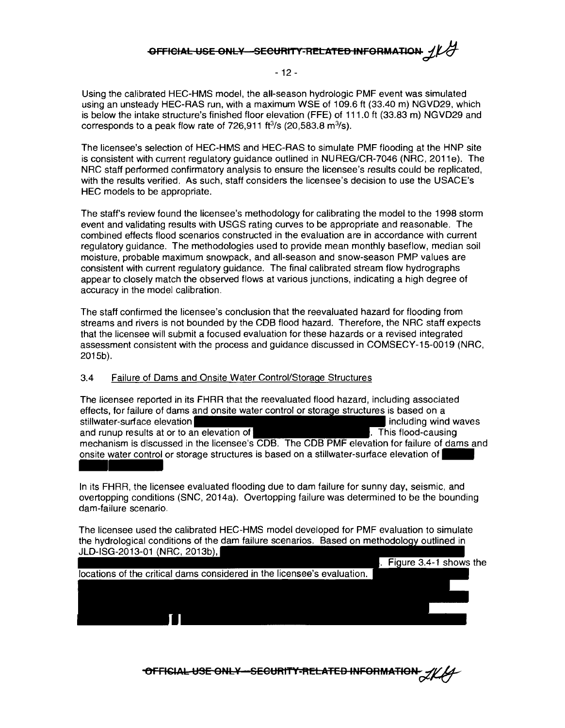### **OFFICIAL USE ONLY SECURITY-RELATED INFORMATION 1/4**

#### - 12 -

Using the calibrated HEC-HMS model, the all-season hydrologic PMF event was simulated using an unsteady HEC-RAS run, with a maximum WSE of 109.6 ft (33.40 m) NGVD29, which is below the intake structure's finished floor elevation (FFE) of 111.0 ft (33.83 m) NGVD29 and corresponds to a peak flow rate of 726,911 ft $3$ /s (20,583.8 m $3$ /s).

The licensee's selection of HEC-HMS and HEC-RAS to simulate PMF flooding at the HNP site is consistent with current regulatory guidance outlined in NUREG/CR-7046 (NRC, 2011e). The NRC staff performed confirmatory analysis to ensure the licensee's results could be replicated, with the results verified. As such, staff considers the licensee's decision to use the USACE's HEC models to be appropriate.

The staff's review found the licensee's methodology for calibrating the model to the 1998 storm event and validating results with USGS rating curves to be appropriate and reasonable. The combined effects flood scenarios constructed in the evaluation are in accordance with current regulatory guidance. The methodologies used to provide mean monthly baseflow, median soil moisture, probable maximum snowpack, and all-season and snow-season PMP values are consistent with current regulatory guidance. The final calibrated stream flow hydrographs appear to closely match the observed flows at various junctions, indicating a high degree of accuracy in the model calibration.

The staff confirmed the licensee's conclusion that the reevaluated hazard for flooding from streams and rivers is not bounded by the COB flood hazard. Therefore, the NRC staff expects that the licensee will submit a focused evaluation for these hazards or a revised integrated assessment consistent with the process and guidance discussed in COMSECY-15-0019 (NRC, 2015b).

#### 3.4 Failure of Dams and Onsite Water Control/Storage Structures

The licensee reported in its FHRR that the reevaluated flood hazard, including associated effects, for failure of dams and onsite water control or storage structures is based on a stillwater-surface elevation **including wind waves** stillwater-surface elevation and runup results at or to an elevation of . This flood-causing . This flood-causing mechanism is discussed in the licensee's COB. The COB PMF elevation for failure of dams and onsite water control or storage structures is based on a stillwater-surface elevation of The licensee reports<br>effects, for failure of<br>stillwater-surface els<br>and runup results at<br>mechanism is discus<br>onsite water control<br>ln its FHRR, the lice<br>overtopping condition

In its FHRR, the licensee evaluated flooding due to dam failure for sunny day, seismic, and overtopping conditions (SNC, 2014a). Overtopping failure was determined to be the bounding dam-failure scenario.

The licensee used the calibrated HEC-HMS model developed for PMF evaluation to simulate the hydrological conditions of the dam failure scenarios. Based on methodology outlined in JLD-ISG-2013-01 (NRC, 2013b),

. Figure 3.4-1 shows the

locations of the critical dams considered in the licensee's evaluation.

**-OFFICIAL-USE ONLY --SECURITY-RELATED INFORMATION-**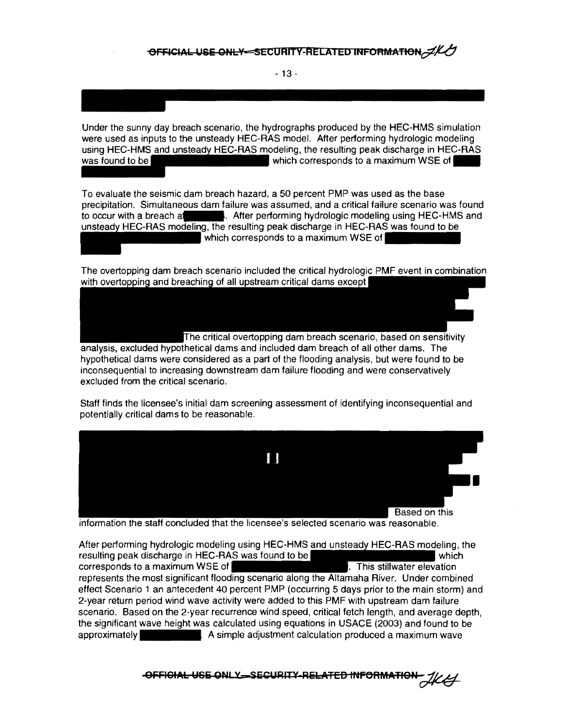- 13 -

Under the sunny day breach scenario, the hydrographs produced by the HEC-HMS simulation were used as inputs to the unsteady HEC-RAS model. After performing hydrologic modeling using HEC-HMS and unsteady HEC-RAS modeling, the resulting peak discharge in HEC-RAS was found to be

To evaluate the seismic dam breach hazard, a 50 percent PMP was used as the base precipitation. Simultaneous dam failure was assumed, and a critical failure scenario was found to occur with a breach a-. After performing hydrologic modeling using HEC-HMS and unsteady HEC-RAS modeling, the resulting peak discharge in HEC-RAS was found to be which corresponds to a maximum WSE of

The overtopping dam breach scenario included the critical hydrologic PMF event in combination with overtopping and breaching of all upstream critical dams except

he critical overtopping dam breach scenario, based on sensitivity analysis, excluded hypothetical dams and included dam breach of all other dams. The hypothetical dams were considered as a part of the flooding analysis, but were found to be inconsequential to increasing downstream dam failure flooding and were conservatively excluded from the critical scenario.

Staff finds the licensee's initial dam screening assessment of identifying inconsequential and potentially critical dams to be reasonable.



information the staff concluded that the licensee's selected scenario was reasonable.

After performing hydrologic modeling using HEC-HMS and unsteady HEC-RAS modeling, the resulting peak discharge in HEC-RAS was found to be which which which corresponds to a maximum WSE of  $\vert$  . This stillwater elevation represents the most significant flooding scenario along the Altamaha River. Under combined effect Scenario 1 an antecedent 40 percent PMP (occurring 5 days prior to the main storm) and 2-year return period wind wave activity were added to this PMF with upstream dam failure scenario. Based on the 2-year recurrence wind speed, critical fetch length, and average depth, the significant wave height was calculated using equations in USACE (2003) and found to be approximately A simple adjustment calculation produced a maximum wave

**OFFICIAL USE ONLY SECURITY RELATED INFORMATION**  $\mathcal{H}\mathcal{L}$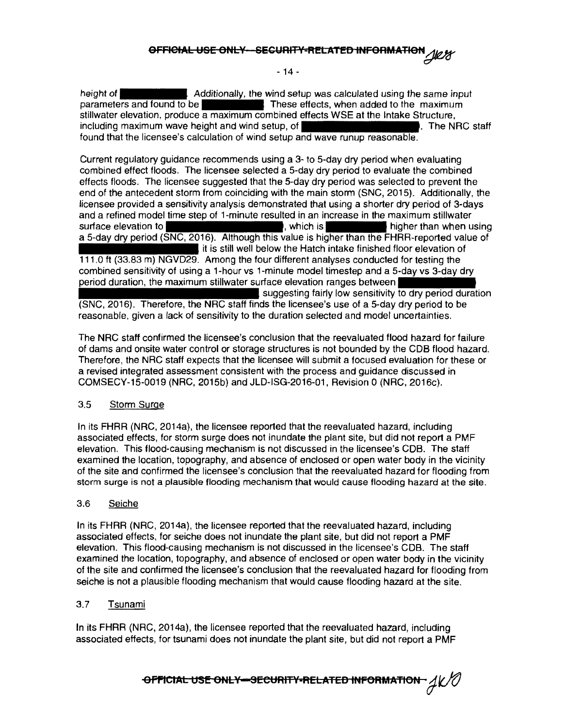#### **0FFIOIAL USE ONL¥ SECURIT<sup>1</sup> t'-RELATEB** INFORMATION~

 $-14 -$ 

height of **Additionally, the wind setup was calculated using the same input** parameters and found to be  $\blacksquare$  These effects, when added to the maximum stillwater elevation, produce a maximum combined effects WSE at the Intake Structure, including maximum wave height and wind setup, of The Name of The NRG staff found that the licensee's calculation of wind setup and wave runup reasonable.

Current regulatory guidance recommends using a 3- to 5-day dry period when evaluating combined effect floods. The licensee selected a 5-day dry period to evaluate the combined effects floods. The licensee suggested that the 5-day dry period was selected to prevent the end of the antecedent storm from coinciding with the main storm (SNC, 2015). Additionally, the licensee provided a sensitivity analysis demonstrated that using a shorter dry period of 3-days and a refined model time step of 1-minute resulted in an increase in the maximum stillwater surface elevation to **the contract of the surface elevation to the contract of the contract of the surface elevation** a 5-day dry period (SNC, 2016). Although this value is higher than the FHRR-reported value of I it is still well below the Hatch intake finished floor elevation of 111.0 ft (33.83 m) NGVD29. Among the four different analyses conducted for testing the combined sensitivity of using a 1-hour vs 1-minute model timestep and a 5-day vs 3-day dry period duration, the maximum stillwater surface elevation ranges between suggesting fairly low sensitivity to dry period duration (SNC, 2016). Therefore, the NRG staff finds the licensee's use of a 5-day dry period to be reasonable, given a lack of sensitivity to the duration selected and model uncertainties.

The NRG staff confirmed the licensee's conclusion that the reevaluated flood hazard for failure of dams and onsite water control or storage structures is not bounded by the CDB flood hazard. Therefore, the NRG staff expects that the licensee will submit a focused evaluation for these or a revised integrated assessment consistent with the process and guidance discussed in COMSECY-15-0019 (NRG, 2015b) and JLD-ISG-2016-01, Revision 0 (NRG, 2016c).

#### 3.5 Storm Surge

In its FHRR (NRG, 2014a), the licensee reported that the reevaluated hazard, including associated effects, for storm surge does not inundate the plant site, but did not report a PMF elevation. This flood-causing mechanism is not discussed in the licensee's COB. The staff examined the location, topography, and absence of enclosed or open water body in the vicinity of the site and confirmed the licensee's conclusion that the reevaluated hazard for flooding from storm surge is not a plausible flooding mechanism that would cause flooding hazard at the site.

#### 3.6 Seiche

In its FHRR (NRC, 2014a), the licensee reported that the reevaluated hazard, including associated effects, for seiche does not inundate the plant site, but did not report a PMF elevation. This flood-causing mechanism is not discussed in the licensee's COB. The staff examined the location, topography, and absence of enclosed or open water body in the vicinity of the site and confirmed the licensee's conclusion that the reevaluated hazard for flooding from seiche is not a plausible flooding mechanism that would cause flooding hazard at the site.

#### 3.7 Tsunami

In its FHRR (NRC, 2014a), the licensee reported that the reevaluated hazard, including associated effects, for tsunami does not inundate the plant site, but did not report a PMF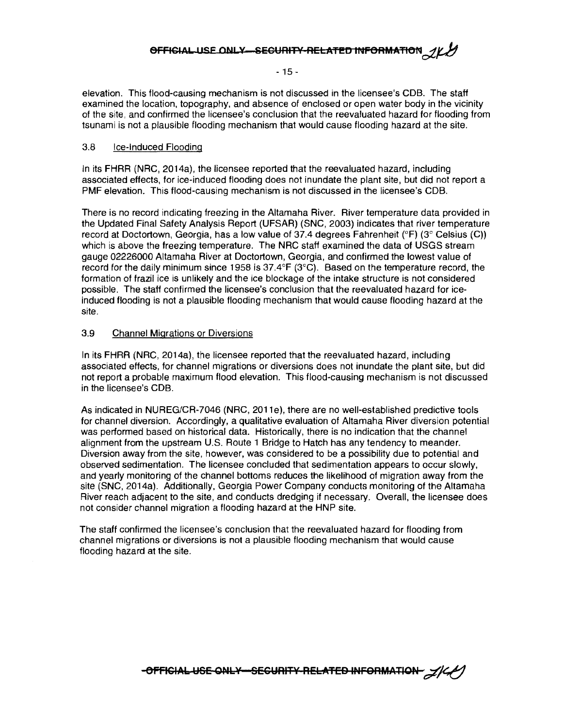#### **OFFICIAL USE ONLY-SECURITY-RELATED INFORMATION**

- 15 -

elevation. This flood-causing mechanism is not discussed in the licensee's CDB. The staff examined the location, topography, and absence of enclosed or open water body in the vicinity of the site, and confirmed the licensee's conclusion that the reevaluated hazard for flooding from tsunami is not a plausible flooding mechanism that would cause flooding hazard at the site.

#### 3.8 Ice-Induced Flooding

In its FHRR (NRC, 2014a), the licensee reported that the reevaluated hazard, including associated effects, for ice-induced flooding does not inundate the plant site, but did not report a PMF elevation. This flood-causing mechanism is not discussed in the licensee's CDB.

There is no record indicating freezing in the Altamaha River. River temperature data provided in the Updated Final Safety Analysis Report (UFSAR) (SNC, 2003) indicates that river temperature record at Doctortown, Georgia, has a low value of 37.4 degrees Fahrenheit (°F) (3° Celsius (C)) which is above the freezing temperature. The NRC staff examined the data of USGS stream gauge 02226000 Altamaha River at Doctortown, Georgia, and confirmed the lowest value of record for the daily minimum since 1958 is 37.4°F (3°C). Based on the temperature record, the formation of frazil ice is unlikely and the ice blockage of the intake structure is not considered possible. The staff confirmed the licensee's conclusion that the reevaluated hazard for iceinduced flooding is not a plausible flooding mechanism that would cause flooding hazard at the site.

#### 3.9 Channel Migrations or Diversions

In its FHRR (NRC, 2014a), the licensee reported that the reevaluated hazard, including associated effects, for channel migrations or diversions does not inundate the plant site, but did not report a probable maximum flood elevation. This flood-causing mechanism is not discussed in the licensee's CDB.

As indicated in NUREG/CR-7046 (NRC, 2011e), there are no well-established predictive tools for channel diversion. Accordingly, a qualitative evaluation of Altamaha River diversion potential was performed based on historical data. Historically, there is no indication that the channel alignment from the upstream U.S. Route 1 Bridge to Hatch has any tendency to meander. Diversion away from the site, however, was considered to be a possibility due to potential and observed sedimentation. The licensee concluded that sedimentation appears to occur slowly, and yearly monitoring of the channel bottoms reduces the likelihood of migration away from the site (SNC, 2014a). Additionally, Georgia Power Company conducts monitoring of the Altamaha River reach adjacent to the site, and conducts dredging if necessary. Overall, the licensee does not consider channel migration a flooding hazard at the HNP site.

The staff confirmed the licensee's conclusion that the reevaluated hazard for flooding from channel migrations or diversions is not a plausible flooding mechanism that would cause flooding hazard at the site.

-OFFICIAL-USE-ONLY SECURITY RELATED INFORMATION-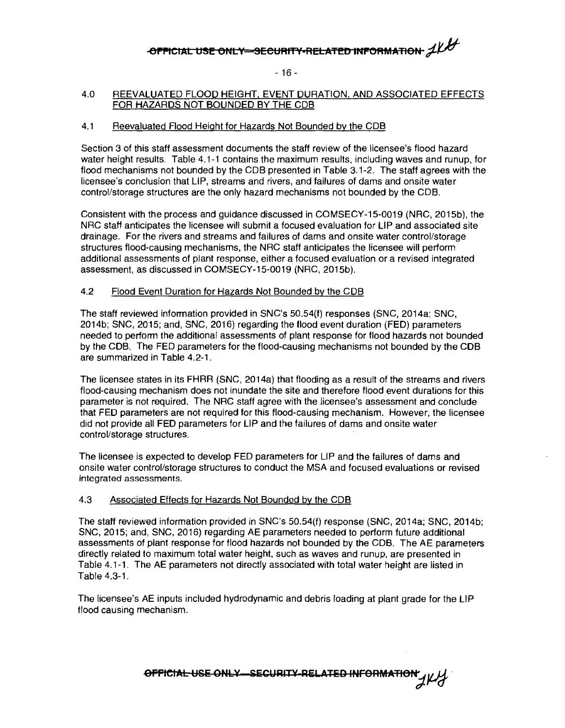## **-OFFICIAL USE ONLY-SECURITY•RELATED INFORMATION**  $\mathcal{A}\mathcal{U}$

- 16 -

#### 4.0 REEVALUATED FLOOD HEIGHT. EVENT DURATION, AND ASSOCIATED EFFECTS FOR HAZARDS NOT BOUNDED BY THE COB

#### 4.1 Reevaluated Flood Height for Hazards Not Bounded by the COB

Section 3 of this staff assessment documents the staff review of the licensee's flood hazard water height results. Table 4.1-1 contains the maximum results, including waves and runup, for flood mechanisms not bounded by the COB presented in Table 3.1-2. The staff agrees with the licensee's conclusion that LIP, streams and rivers, and failures of dams and onsite water control/storage structures are the only hazard mechanisms not bounded by the COB.

Consistent with the process and guidance discussed in COMSECY-15-0019 (NRC, 2015b), the NRC staff anticipates the licensee will submit a focused evaluation for LIP and associated site drainage. For the rivers and streams and failures of dams and onsite water control/storage structures flood-causing mechanisms, the NRC staff anticipates the licensee will perform additional assessments of plant response, either a focused evaluation or a revised integrated assessment, as discussed in COMSECY-15-0019 (NRC, 2015b).

#### 4.2 Flood Event Duration for Hazards Not Bounded by the COB

The staff reviewed information provided in SNC's 50.54(f) responses (SNC, 2014a; SNC, 2014b; SNC, 2015; and, SNC, 2016) regarding the flood event duration (FED) parameters needed to perform the additional assessments of plant response for flood hazards not bounded by the COB. The FED parameters for the flood-causing mechanisms not bounded by the COB are summarized in Table 4.2-1.

The licensee states in its FHRR (SNC, 2014a) that flooding as a result of the streams and rivers flood-causing mechanism does not inundate the site and therefore flood event durations for this parameter is not required. The NRC staff agree with the licensee's assessment and conclude that FED parameters are not required for this flood-causing mechanism. However, the licensee did not provide all FED parameters for LIP and the failures of dams and onsite water control/storage structures.

The licensee is expected to develop FED parameters for LIP and the failures of dams and onsite water control/storage structures to conduct the MSA and focused evaluations or revised integrated assessments.

#### 4.3 Associated Effects for Hazards Not Bounded by the COB

The staff reviewed information provided in SNC's 50.54(f) response (SNC, 2014a; SNC, 2014b; SNC, 2015; and, SNC, 2016) regarding AE parameters needed to perform future additional assessments of plant response for flood hazards not bounded by the COB. The AE parameters directly related to maximum total water height, such as waves and runup, are presented in Table 4.1-1. The AE parameters not directly associated with total water height are listed in Table 4.3-1.

The licensee's AE inputs included hydrodynamic and debris loading at plant grade for the LIP flood causing mechanism.

**eFFICIAL USE ONLY SECURITY RELATED INFORMATION**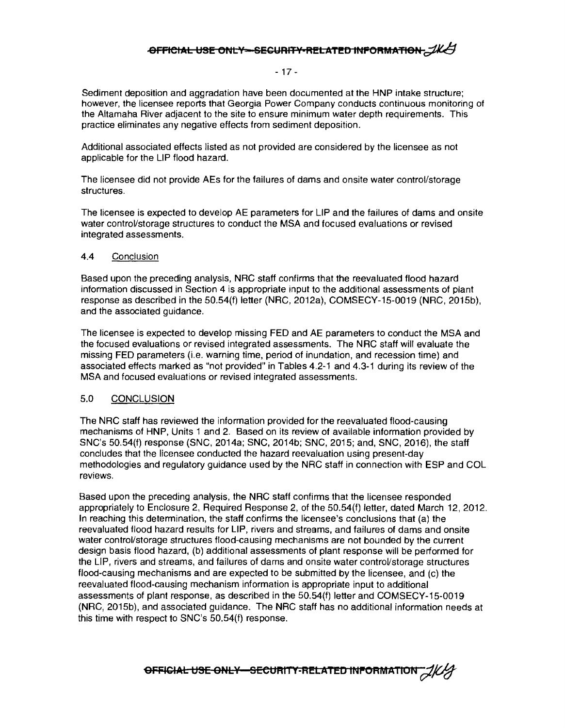#### **-OFFICIAL USE ONLY-SECURITY-RELATED INFORMATION - IKAT**

#### - 17 -

Sediment deposition and aggradation have been documented at the HNP intake structure; however, the licensee reports that Georgia Power Company conducts continuous monitoring of the Altamaha River adjacent to the site to ensure minimum water depth requirements. This practice eliminates any negative effects from sediment deposition.

Additional associated effects listed as not provided are considered by the licensee as not applicable for the LIP flood hazard.

The licensee did not provide AEs for the failures of dams and onsite water control/storage structures.

The licensee is expected to develop AE parameters for LIP and the failures of dams and onsite water control/storage structures to conduct the MSA and focused evaluations or revised integrated assessments.

#### 4.4 Conclusion

Based upon the preceding analysis, NRC staff confirms that the reevaluated flood hazard information discussed in Section 4 is appropriate input to the additional assessments of plant response as described in the 50.54(f) letter (NRC, 2012a), COMSECY-15-0019 (NRC, 2015b), and the associated guidance.

The licensee is expected to develop missing FED and AE parameters to conduct the MSA and the focused evaluations or revised integrated assessments. The NRC staff will evaluate the missing FED parameters (i.e. warning time, period of inundation, and recession time) and associated effects marked as "not provided" in Tables 4.2-1 and 4.3-1 during its review of the MSA and focused evaluations or revised integrated assessments.

#### 5.0 CONCLUSION

The NRC staff has reviewed the information provided for the reevaluated flood-causing mechanisms of HNP, Units 1 and 2. Based on its review of available information provided by SNC's 50.54(f) response (SNC, 2014a; SNC, 2014b; SNC, 2015; and, SNC, 2016), the staff concludes that the licensee conducted the hazard reevaluation using present-day methodologies and regulatory guidance used by the NRC staff in connection with ESP and COL reviews.

Based upon the preceding analysis, the NRC staff confirms that the licensee responded appropriately to Enclosure 2, Required Response 2, of the 50.54(f) letter, dated March 12, 2012. In reaching this determination, the staff confirms the licensee's conclusions that (a) the reevaluated flood hazard results for LIP, rivers and streams, and failures of dams and onsite water control/storage structures flood-causing mechanisms are not bounded by the current design basis flood hazard, (b) additional assessments of plant response will be performed for the LIP, rivers and streams, and failures of dams and onsite water control/storage structures flood-causing mechanisms and are expected to be submitted by the licensee, and (c) the reevaluated flood-causing mechanism information is appropriate input to additional assessments of plant response, as described in the 50.54(f) letter and COMSECY-15-0019 (NRC, 2015b), and associated guidance. The NRC staff has no additional information needs at this time with respect to SNC's 50.54(f) response.

**OFFICIAL USE ONLY-SECURITY-RELATED INFORMATION**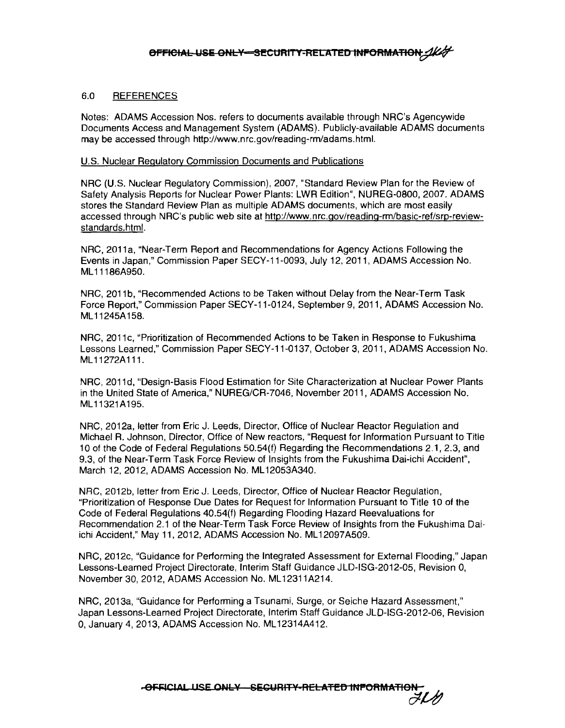#### 6.0 REFERENCES

Notes: ADAMS Accession Nos. refers to documents available through NRC's Agencywide Documents Access and Management System (ADAMS). Publicly-available ADAMS documents may be accessed through http://www.nrc.gov/reading-rm/adams.html.

#### U.S. Nuclear Regulatory Commission Documents and Publications

NRG (U.S. Nuclear Regulatory Commission), 2007, "Standard Review Plan for the Review of Safety Analysis Reports for Nuclear Power Plants: LWR Edition", NUREG-0800, 2007. ADAMS stores the Standard Review Plan as multiple ADAMS documents, which are most easily accessed through NRC's public web site at http://www.nrc.gov/reading-rm/basic-ref/srp-reviewstandards.html.

NRG, 2011a, "Near-Term Report and Recommendations for Agency Actions Following the Events in Japan," Commission Paper SECY-11-0093, July 12, 2011, ADAMS Accession No. ML 11186A950.

NRG, 2011b, "Recommended Actions to be Taken without Delay from the Near-Term Task Force Report," Commission Paper SECY-11-0124, September 9, 2011, ADAMS Accession No. ML 11245A158.

NRG, 2011c, "Prioritization of Recommended Actions to be Taken in Response to Fukushima Lessons Learned," Commission Paper SECY-11-0137, October 3, 2011, ADAMS Accession No. ML11272A111.

NRC, 2011d. "Design-Basis Flood Estimation for Site Characterization at Nuclear Power Plants in the United State of America," NUREG/CR-7046, November 2011, ADAMS Accession No. ML 11321A195.

NRG, 2012a, letter from Eric J. Leeds, Director, Office of Nuclear Reactor Regulation and Michael R. Johnson, Director, Office of New reactors, "Request for Information Pursuant to Title 10 of the Code of Federal Regulations 50.54(f) Regarding the Recommendations 2.1, 2.3, and 9.3, of the Near-Term Task Force Review of Insights from the Fukushima Dai-ichi Accident", March 12, 2012, ADAMS Accession No. ML 12053A340.

NRG, 2012b, letter from Eric J. Leeds, Director, Office of Nuclear Reactor Regulation, "Prioritization of Response Due Dates for Request for Information Pursuant to Title 1 o of the Code of Federal Regulations 40.54(f) Regarding Flooding Hazard Reevaluations for Recommendation 2.1 of the Near-Term Task Force Review of Insights from the Fukushima Daiichi Accident," May 11, 2012, ADAMS Accession No. ML12097A509.

NRG, 2012c, "Guidance for Performing the Integrated Assessment for External Flooding," Japan Lessons-Learned Project Directorate, Interim Staff Guidance JLD-ISG-2012-05, Revision 0, November 30, 2012, ADAMS Accession No. ML 12311 A214.

NRG, 2013a, "Guidance for Performing a Tsunami, Surge, or Seiche Hazard Assessment," Japan Lessons-Learned Project Directorate, Interim Staff Guidance JLD-ISG-2012-06, Revision O, January 4, 2013, ADAMS Accession No. ML 12314A412 .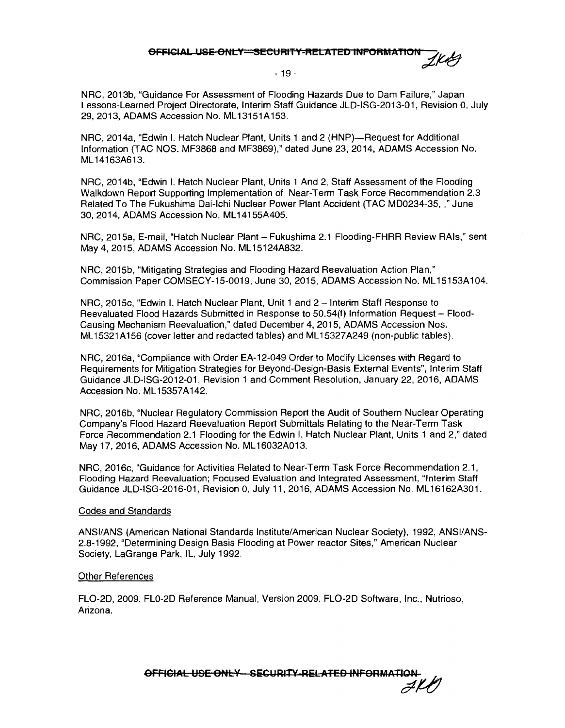### OFFICIAL USE ONLY=SECURITY-RELATED INFORMATION 1/44

#### - 19 -

NRC, 2013b, "Guidance For Assessment of Flooding Hazards Due to Dam Failure," Japan Lessons-Learned Project Directorate, Interim Staff Guidance JLD-ISG-2013-01, Revision 0, July 29, 2013, ADAMS Accession No. ML13151A153.

NRC, 2014a, "Edwin I. Hatch Nuclear Plant, Units 1 and 2 (HNP)—Request for Additional Information (TAC NOS. MF3868 and MF3869)," dated June 23, 2014, ADAMS Accession No. ML 14163A613.

NRC, 2014b, "Edwin I. Hatch Nuclear Plant, Units 1 And 2, Staff Assessment of the Flooding Walkdown Report Supporting Implementation of Near-Term Task Force Recommendation 2.3 Related To The Fukushima Dai-lchi Nuclear Power Plant Accident (TAC MD0234-35, ,"June 30, 2014, ADAMS Accession No. ML14155A405.

NRC, 2015a, E-mail, "Hatch Nuclear Plant- Fukushima 2.1 Flooding-FHRR Review RAls," sent May 4, 2015, ADAMS Accession No. ML 15124A832.

NRC, 2015b, "Mitigating Strategies and Flooding Hazard Reevaluation Action Plan," Commission Paper COMSECY-15-0019, June 30, 2015, ADAMS Accession No. ML 15153A104.

NRC, 2015c, "Edwin I. Hatch Nuclear Plant, Unit 1 and 2 - Interim Staff Response to Reevaluated Flood Hazards Submitted in Response to 50.54(f) Information Request - Flood-Causing Mechanism Reevaluation," dated December 4, 2015, ADAMS Accession Nos. ML 15321A156 (cover letter and redacted tables) and ML 15327A249 (non-public tables).

NRC, 2016a, "Compliance with Order EA-12-049 Order to Modify Licenses with Regard to Requirements for Mitigation Strategies for Beyond-Design-Basis External Events", Interim Staff Guidance JLD-ISG-2012-01, Revision 1 and Comment Resolution, January 22, 2016, ADAMS Accession No. ML 15357A142.

NRC, 2016b, "Nuclear Regulatory Commission Report the Audit of Southern Nuclear Operating Company's Flood Hazard Reevaluation Report Submittals Relating to the Near-Term Task Force Recommendation 2.1 Flooding for the Edwin I. Hatch Nuclear Plant, Units 1 and 2," dated May 17, 2016, ADAMS Accession No. ML 16032A013.

NRC, 2016c, "Guidance for Activities Related to Near-Term Task Force Recommendation 2.1, Flooding Hazard Reevaluation; Focused Evaluation and Integrated Assessment, "Interim Staff Guidance JLD-ISG-2016-01, Revision 0, July 11, 2016, ADAMS Accession No. ML 16162A301.

#### Codes and Standards

ANSI/ANS (American National Standards Institute/American Nuclear Society), 1992, ANSl/ANS-2.8-1992, "Determining Design Basis Flooding at Power reactor Sites," American Nuclear Society, LaGrange Park, IL, July 1992.

#### Other References

FL0-2D, 2009. FL0-2D Reference Manual, Version 2009. FL0-2D Software, Inc., Nutrioso, Arizona.

eFFICIAL USE ONLY SECURITY RELATED INFORMATION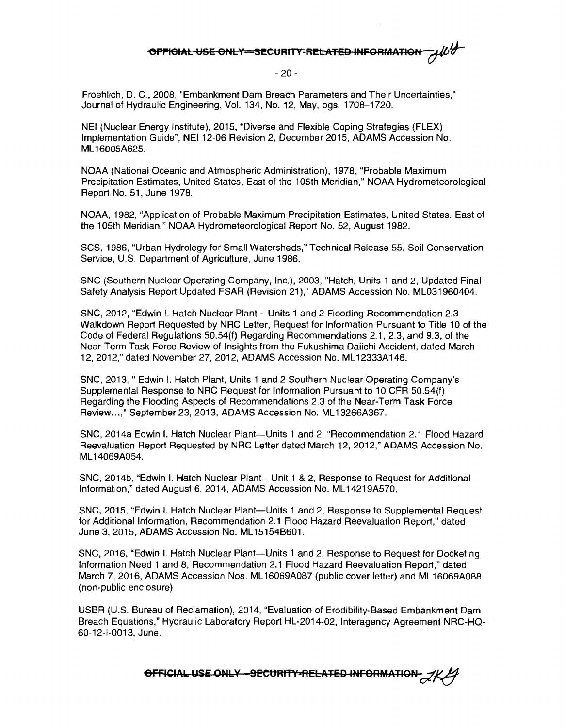### **OFFIGIAL USE ONLY-SECURITY-RELATED INFORMATION**

#### - 20 -

Froehlich, D. C., 2008, "Embankment Dam Breach Parameters and Their Uncertainties," Journal of Hydraulic Engineering, Vol. 134, No. 12, May, pgs. 1708-1720.

NEI (Nuclear Energy Institute), 2015, "Diverse and Flexible Coping Strategies (FLEX) Implementation Guide", NEI 12-06 Revision 2, December 2015, ADAMS Accession No. ML 16005A625.

NOAA (National Oceanic and Atmospheric Administration), 1978, "Probable Maximum Precipitation Estimates, United States, East of the 105th Meridian," NOAA Hydrometeorological Report No. 51, June 1978.

NOAA, 1982, "Application of Probable Maximum Precipitation Estimates, United States, East of the 105th Meridian," NOAA Hydrometeorological Report No. 52, August 1982.

SCS, 1986, "Urban Hydrology for Small Watersheds," Technical Release 55, Soil Conservation Service, U.S. Department of Agriculture, June 1986.

SNC (Southern Nuclear Operating Company, Inc.), 2003, "Hatch, Units 1 and 2, Updated Final Safety Analysis Report Updated FSAR (Revision 21)," ADAMS Accession No. ML031960404.

SNC, 2012, "Edwin I. Hatch Nuclear Plant - Units 1 and 2 Flooding Recommendation 2.3 Walkdown Report Requested by NRC Letter, Request for Information Pursuant to Title 10 of the Code of Federal Regulations 50.54(f) Regarding Recommendations 2.1, 2.3, and 9.3, of the Near-Term Task Force Review of Insights from the Fukushima Daiichi Accident, dated March 12, 2012," dated November 27, 2012, ADAMS Accession No. ML 12333A 148.

SNC, 2013, " Edwin I. Hatch Plant, Units 1 and 2 Southern Nuclear Operating Company's Supplemental Response to NRC Request for Information Pursuant to 10 CFR 50.54(f) Regarding the Flooding Aspects of Recommendations 2.3 of the Near-Term Task Force Review...." September 23, 2013, ADAMS Accession No. ML13266A367.

SNC, 2014a Edwin I. Hatch Nuclear Plant-Units 1 and 2, "Recommendation 2.1 Flood Hazard Reevaluation Report Requested by NRC Letter dated March 12, 2012," ADAMS Accession No. ML 14069A054.

SNC, 2014b, "Edwin I. Hatch Nuclear Plant-Unit 1 & 2, Response to Request for Additional information," dated August 6, 2014, ADAMS Accession No. ML 14219A570.

SNC, 2015, "Edwin I. Hatch Nuclear Plant-Units 1 and 2, Response to Supplemental Request for Additional Information, Recommendation 2.1 Flood Hazard Reevaluation Report," dated June 3, 2015, ADAMS Accession No. ML15154B601.

SNC, 2016, "Edwin I. Hatch Nuclear Plant-Units 1 and 2, Response to Request for Docketing Information Need 1 and 8, Recommendation 2. 1 Flood Hazard Reevaluation Report," dated March 7, 2016, ADAMS Accession Nos. ML16069A087 (public cover letter) and ML 16069A088 (non-public enclosure)

USBR (U.S. Bureau of Reclamation), 2014, "Evaluation of Erodibility-Based Embankment Dam Breach Equations," Hydraulic Laboratory Report HL-2014-02, lnteragency Agreement NRC-HQ-60-12-1-0013, June.

**OFFICIAL USE ONLY -- SECURITY-RELATED INFORMATION 2/4**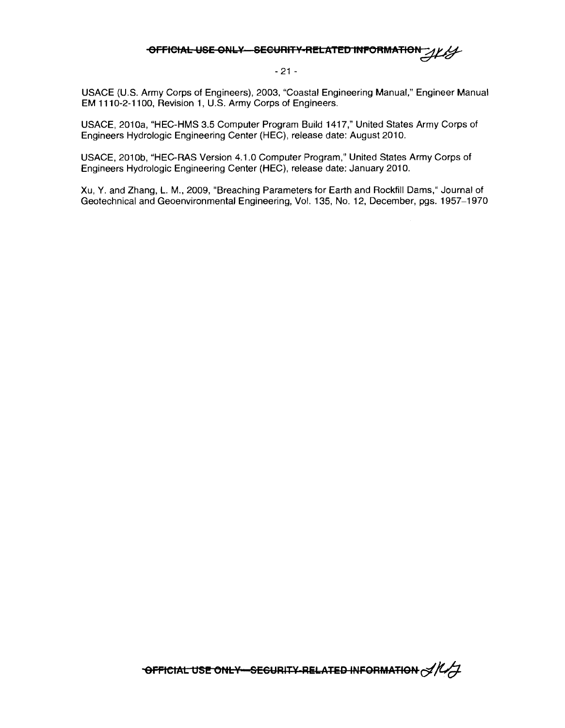## **OFFICIAL USE ONLY SECURITY RELATED INFORMATION**

- 21 -

USACE (U.S. Army Corps of Engineers), 2003, "Coastal Engineering Manual," Engineer Manual EM 1110-2-1100, Revision 1, U.S. Army Corps of Engineers.

USACE, 2010a, "HEC-HMS 3.5 Computer Program Build 1417," United States Army Corps of Engineers Hydrologic Engineering Center (HEC), release date: August 2010.

USACE, 2010b. "HEC-RAS Version 4.1.0 Computer Program." United States Army Corps of Engineers Hydrologic Engineering Center (HEC), release date: January 2010.

Xu, Y. and Zhang, L. M., 2009, "Breaching Parameters for Earth and Rockfill Dams," Journal of Geotechnical and Geoenvironmental Engineering, Vol. 135, No. 12, December, pgs. 1957-1970

**"OFFICIAL USE ONLY-SECURITY-RELATED INFORMATION**  $\frac{1}{\sqrt{1}}$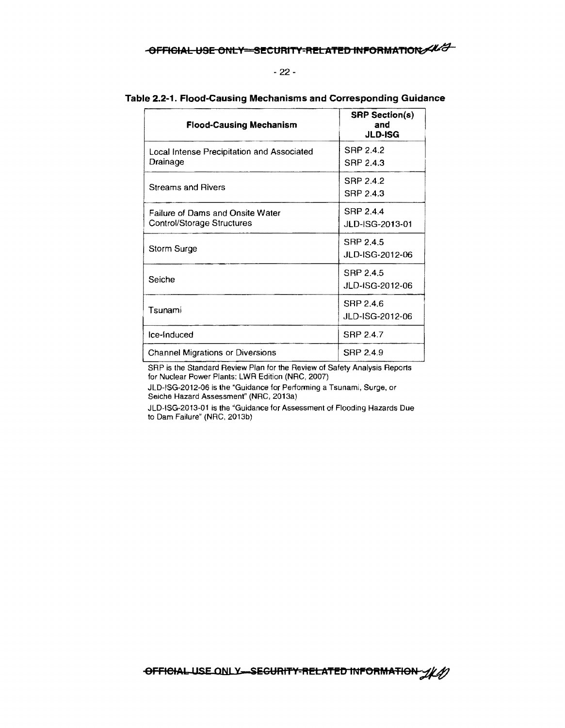### **OFFICIAL USE ONLY-SECURITY-RELATED INFORMATION/4/7**

#### - 22 -

| <b>Flood-Causing Mechanism</b>                                 | <b>SRP Section(s)</b><br>and<br><b>JLD-ISG</b> |
|----------------------------------------------------------------|------------------------------------------------|
| Local Intense Precipitation and Associated<br>Drainage         | SRP 2.4.2<br>SRP 2.4.3                         |
| Streams and Rivers                                             | SRP 2.4.2<br>SRP 2.4.3                         |
| Failure of Dams and Onsite Water<br>Control/Storage Structures | SRP 2.4.4<br>JLD-ISG-2013-01                   |
| Storm Surge                                                    | SRP 2.4.5<br>JLD-ISG-2012-06                   |
| Seiche                                                         | SRP 2.4.5<br>JLD-ISG-2012-06                   |
| Tsunami                                                        | SRP 2.4.6<br>JLD-ISG-2012-06                   |
| Ice-Induced                                                    | SRP 2.4.7                                      |
| Channel Migrations or Diversions                               | SRP 2.4.9                                      |

#### **Table 2.2-1. Flood-Causing Mechanisms and Corresponding Guidance**

SAP is the Standard Review Plan for the Review of Safety Analysis Reports for Nuclear Power Plants: LWR Edition (NRC, 2007)

JLD-ISG-2012-06 is the "Guidance for Performing a Tsunami, Surge, or Seiche Hazard Assessment" (NRC, 2013a)

JLD-ISG-2013-01 is the "Guidance for Assessment of Flooding Hazards Due to Darn Failure" (NRC, 2013b)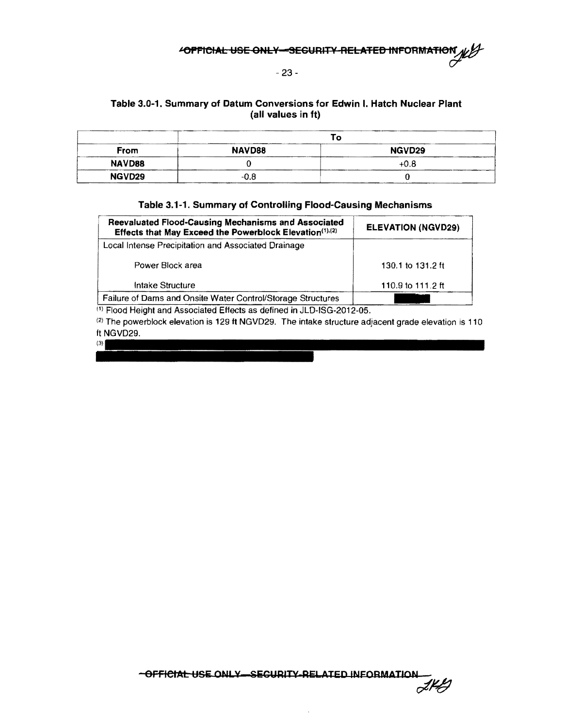#### - 23 -

#### Table 3.0-1. Summary of Datum Conversions for Edwin I. Hatch Nuclear Plant (all values in ft)

|             |        | ັດ     |
|-------------|--------|--------|
| <b>From</b> | NAVD88 | NGVD29 |
| NAVD88      |        | $+0.8$ |
| NGVD29      | $-0.8$ |        |

#### Table 3.1-1. Summary of Controlling Flood-Causing Mechanisms

| Reevaluated Flood-Causing Mechanisms and Associated<br>Effects that May Exceed the Powerblock Elevation(1),(2) | <b>ELEVATION (NGVD29)</b> |  |
|----------------------------------------------------------------------------------------------------------------|---------------------------|--|
| Local Intense Precipitation and Associated Drainage                                                            |                           |  |
| Power Block area                                                                                               | 130.1 to 131.2 ft         |  |
| Intake Structure                                                                                               | 110.9 to 111.2 ft         |  |
| Failure of Dams and Onsite Water Control/Storage Structures                                                    |                           |  |

<sup>(1)</sup> Flood Height and Associated Effects as defined in JLD-ISG-2012-05.

 $(3)$ 

 $^{(2)}$  The powerblock elevation is 129 ft NGVD29. The intake structure adjacent grade elevation is 110 ft NGVD29.

> -OFFICIAL USE ONLY-SEGURITY-RELATED INFORMATION  $z\not\vdash\theta$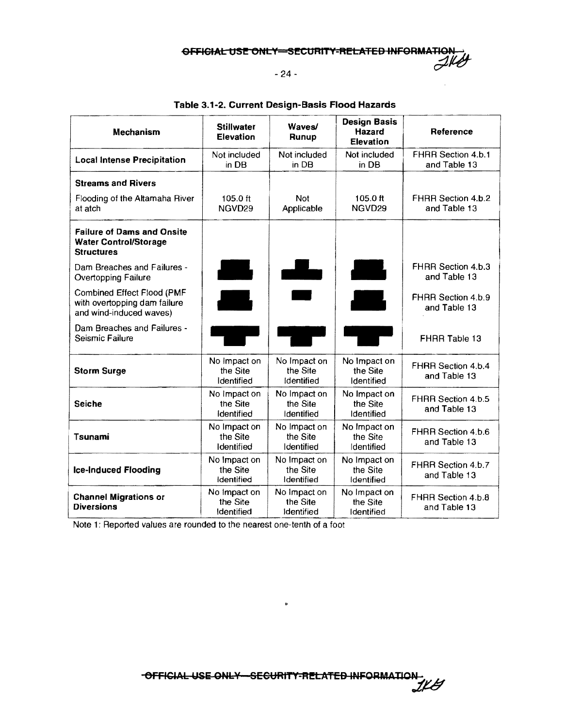GFFIGIAL USE ONLY=SECURITY-RELATED INFORMATION

 $-24 -$ 

| Mechanism                                                                              | <b>Stillwater</b><br>Elevation         | <b>Waves/</b><br>Runup                 | <b>Design Basis</b><br><b>Hazard</b><br><b>Elevation</b> | Reference                          |
|----------------------------------------------------------------------------------------|----------------------------------------|----------------------------------------|----------------------------------------------------------|------------------------------------|
| <b>Local Intense Precipitation</b>                                                     | Not included<br>in DB                  | Not included<br>in DB                  | Not included<br>in DB                                    | FHRR Section 4.b.1<br>and Table 13 |
| <b>Streams and Rivers</b>                                                              |                                        |                                        |                                                          |                                    |
| Flooding of the Altamaha River<br>at atch                                              | 105.0 ft<br>NGVD <sub>29</sub>         | <b>Not</b><br>Applicable               | $105.0$ ft<br>NGVD <sub>29</sub>                         | FHRR Section 4.b.2<br>and Table 13 |
| <b>Failure of Dams and Onsite</b><br><b>Water Control/Storage</b><br><b>Structures</b> |                                        |                                        |                                                          |                                    |
| Dam Breaches and Failures -<br><b>Overtopping Failure</b>                              | an an an A                             | $\overline{\phantom{a}}$               |                                                          | FHRR Section 4.b.3<br>and Table 13 |
| Combined Effect Flood (PMF<br>with overtopping dam failure<br>and wind-induced waves)  |                                        |                                        | a sa                                                     | FHRR Section 4.b.9<br>and Table 13 |
| Dam Breaches and Failures -<br>Seismic Failure                                         |                                        |                                        |                                                          | FHRR Table 13                      |
| <b>Storm Surge</b>                                                                     | No Impact on<br>the Site<br>Identified | No Impact on<br>the Site<br>Identified | No Impact on<br>the Site<br>Identified                   | FHRR Section 4.b.4<br>and Table 13 |
| Seiche                                                                                 | No Impact on<br>the Site<br>Identified | No Impact on<br>the Site<br>Identified | No Impact on<br>the Site<br>Identified                   | FHRR Section 4.b.5<br>and Table 13 |
| Tsunami                                                                                | No Impact on<br>the Site<br>Identified | No Impact on<br>the Site<br>Identified | No Impact on<br>the Site<br>Identified                   | FHRR Section 4.b.6<br>and Table 13 |
| <b>Ice-Induced Flooding</b>                                                            | No Impact on<br>the Site<br>Identified | No Impact on<br>the Site<br>Identified | No Impact on<br>the Site<br>Identified                   | FHRR Section 4.b.7<br>and Table 13 |
| <b>Channel Migrations or</b><br><b>Diversions</b>                                      | No Impact on<br>the Site<br>Identified | No Impact on<br>the Site<br>Identified | No Impact on<br>the Site<br>Identified                   | FHRR Section 4.b.8<br>and Table 13 |

#### **Table 3.1-2. Current Design-Basis Flood Hazards**

Note 1: Reported values are rounded to the nearest one-tenth of a foot

 $\ddot{\mathbf{p}}$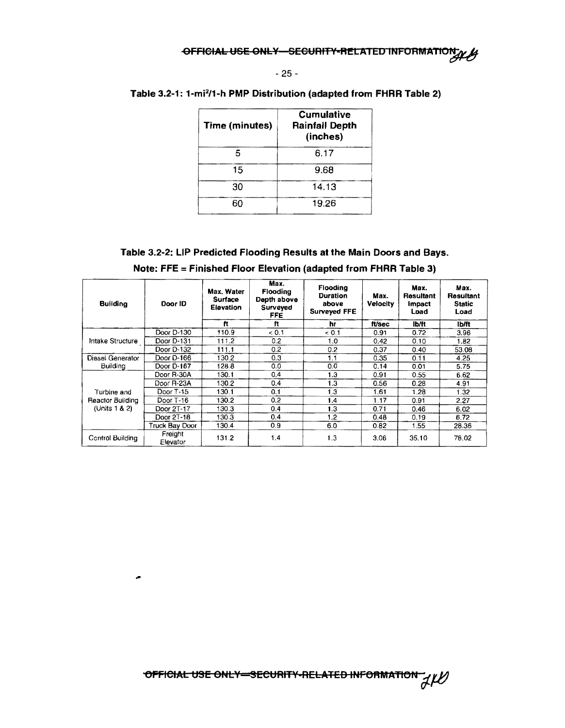·~

#### - 25 -

| Time (minutes) | <b>Cumulative</b><br><b>Rainfall Depth</b><br>(inches) |
|----------------|--------------------------------------------------------|
|                | ჩ 17                                                   |
| 15             | 9.68                                                   |
| --             | . .<br>. .                                             |

30 14.13

60 19.26

#### Table 3.2-1: 1-mi2/1-h PMP Distribution (adapted from FHRR Table 2)

#### Table 3.2-2: LIP Predicted Flooding Results at the Main Doors and Bays.

| <b>Building</b>  | Door ID               | Max. Water<br><b>Surface</b><br>Elevation | Max.<br>Flooding<br>Depth above<br>Surveyed<br>FFE. | Flooding<br>Duration<br>above<br>Surveyed FFE | Max.<br>Velocity | Max.<br>Resultant<br>impact<br>Load | Max.<br><b>Resultant</b><br><b>Static</b><br>Load |
|------------------|-----------------------|-------------------------------------------|-----------------------------------------------------|-----------------------------------------------|------------------|-------------------------------------|---------------------------------------------------|
|                  |                       | Ħ                                         | Ħ                                                   | hr                                            | ft/sec           | lb/ft                               | lb/ft                                             |
|                  | Door D-130            | 110.9                                     | 0.1                                                 | & 0.1                                         | 0.91             | 0.72                                | 3.96                                              |
| Intake Structure | Door D-131            | 111.2                                     | 0.2                                                 | 1.0                                           | 0.42             | 0.10                                | 1.82                                              |
|                  | Door D-132            | 111.1                                     | 0.2                                                 | 0.2                                           | 0.37             | 0.40                                | 53.08                                             |
| Diesel Generator | Door D-166            | 130.2                                     | 0.3                                                 | 1.1                                           | 0.35             | 0.11                                | 4.25                                              |
| Building         | Door D-167            | 128.8                                     | 0.0                                                 | 0,0                                           | 0.14             | 0.01                                | 5.75                                              |
|                  | Door R-30A            | 130.1                                     | 0.4                                                 | 1.3                                           | 0.91             | 0.55                                | 6.62                                              |
|                  | Door R-23A            | 130.2                                     | 0.4                                                 | 1.3                                           | 0.56             | 0.28                                | 4.91                                              |
| Turbine and      | Door T-15             | 130.1                                     | 0.1                                                 | 1.3                                           | 1.61             | 1.28                                | 1.32                                              |
| Reactor Building | Door $T$ 16           | 130.2                                     | 0.2                                                 | 1.4                                           | 1.17             | 0.91                                | 2.27                                              |
| (Units 1 & 2)    | Door 2T-17            | 130.3                                     | 0.4                                                 | 1.3                                           | 0.71             | 0.46                                | 6.02                                              |
|                  | Door 2T-18            | 130.3                                     | 0.4                                                 | 1.2                                           | 0.48             | 0.19                                | 6.72                                              |
|                  | <b>Truck Bay Door</b> | 130.4                                     | 0.9                                                 | 6.0                                           | 0.82             | 1.55                                | 28.36                                             |
| Control Building | Freight<br>Elevator   | 131.2                                     | 1,4                                                 | 1.3                                           | 3.06             | 35.10                               | 78.02                                             |

Note: FFE =Finished Floor Elevation (adapted from FHRR Table 3)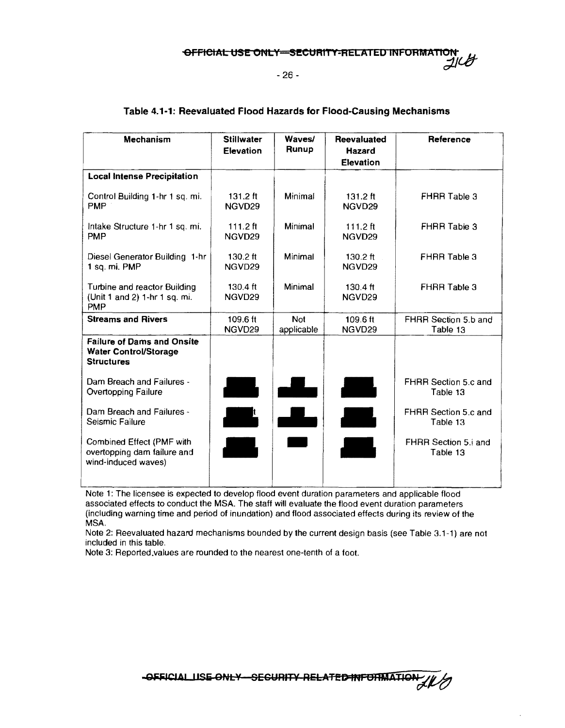OFFICIAL USE ONLY-SECURITY-RELATED INFORMATION

- 26 -

| Mechanism                                                                              | <b>Stillwater</b><br><b>Elevation</b>    | Waves/<br>Runup          | Reevaluated<br><b>Hazard</b><br><b>Elevation</b> | Reference                        |
|----------------------------------------------------------------------------------------|------------------------------------------|--------------------------|--------------------------------------------------|----------------------------------|
| <b>Local Intense Precipitation</b>                                                     |                                          |                          |                                                  |                                  |
| Control Building 1-hr 1 sq. mi.<br><b>PMP</b>                                          | $131.2 \text{ ft}$<br>NGVD <sub>29</sub> | Minimal                  | $131.2 \text{ ft}$<br>NGVD29                     | <b>FHRR Table 3</b>              |
| Intake Structure 1-hr 1 sq. mi.<br><b>PMP</b>                                          | 111.2 $ft$<br>NGVD29                     | Minimal                  | $111.2$ ft<br>NGVD <sub>29</sub>                 | FHRR Table 3                     |
| Diesel Generator Building 1-hr<br>1 sq. mi. PMP                                        | $130.2 \text{ ft}$<br>NGVD29             | Minimal                  | $130.2 \text{ ft}$<br>NGVD29                     | FHRR Table 3                     |
| Turbine and reactor Building<br>(Unit 1 and 2) 1-hr 1 sq. mi.<br><b>PMP</b>            | 130.4 ft<br>NGVD29                       | Minimal                  | $130.4 \text{ ft}$<br>NGVD <sub>29</sub>         | FHRR Table 3                     |
| <b>Streams and Rivers</b>                                                              | 109.6 ft<br>NGVD29                       | <b>Not</b><br>applicable | 109.6 ft<br>NGVD29                               | FHRR Section 5.b and<br>Table 13 |
| <b>Failure of Dams and Onsite</b><br><b>Water Control/Storage</b><br><b>Structures</b> |                                          |                          |                                                  |                                  |
| Dam Breach and Failures -<br><b>Overtopping Failure</b>                                | <b>Altre</b>                             |                          |                                                  | FHRR Section 5.c and<br>Table 13 |
| Dam Breach and Failures -<br>Seismic Failure                                           | $\frac{1}{2}$                            | $\blacksquare$           |                                                  | FHRR Section 5.c and<br>Table 13 |
| Combined Effect (PMF with<br>overtopping dam failure and<br>wind-induced waves)        |                                          |                          |                                                  | FHRR Section 5.i and<br>Table 13 |

#### Table 4.1-1: Reevaluated Flood Hazards for Flood-Causing Mechanisms

Note 1: The licensee is expected to develop flood event duration parameters and applicable flood associated effects to conduct the MSA. The staff will evaluate the flood event duration parameters (including warning time and period of inundation) and flood associated effects during its review of the MSA.

Note 2: Reevaluated hazard mechanisms bounded by the current design basis (see Table 3.1-1) are not included in this table.

Note 3: Reported.values are rounded to the nearest one-tenth of a foot.

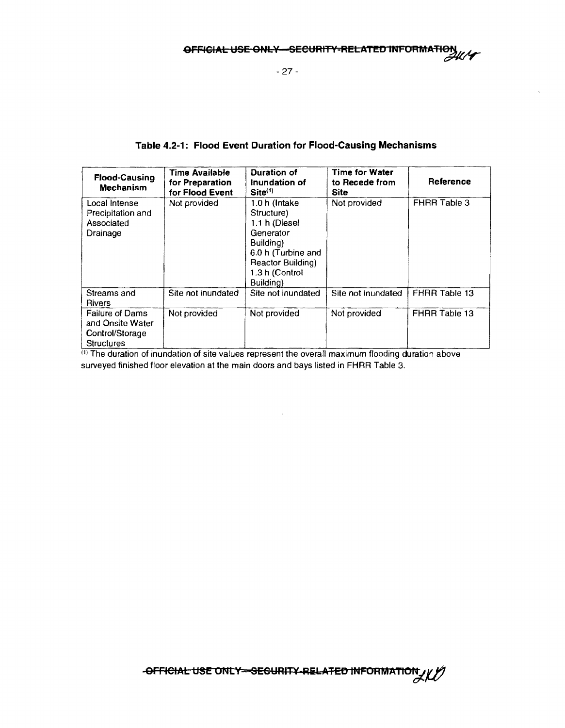- 27 -

#### **Table 4.2-1: Flood Event Duration for Flood-Causing Mechanisms**

| <b>Flood-Causing</b><br><b>Mechanism</b>                                           | <b>Time Available</b><br>for Preparation<br>for Flood Event | Duration of<br>Inundation of<br>$Site^{(1)}$                                                                                                     | <b>Time for Water</b><br>to Recede from<br>Site | Reference           |
|------------------------------------------------------------------------------------|-------------------------------------------------------------|--------------------------------------------------------------------------------------------------------------------------------------------------|-------------------------------------------------|---------------------|
| Local Intense<br>Precipitation and<br>Associated<br>Drainage                       | Not provided                                                | 1.0 h (Intake<br>Structure)<br>1.1 h (Diesel<br>Generator<br>Building)<br>6.0 h (Turbine and<br>Reactor Building)<br>1.3 h (Control<br>Building) | Not provided                                    | <b>FHRR Table 3</b> |
| Streams and<br><b>Rivers</b>                                                       | Site not inundated                                          | Site not inundated                                                                                                                               | Site not inundated                              | FHRR Table 13       |
| <b>Failure of Dams</b><br>and Onsite Water<br>Control/Storage<br><b>Structures</b> | Not provided                                                | Not provided                                                                                                                                     | Not provided                                    | FHRR Table 13       |

 $\sp{^{(1)}}$  The duration of inundation of site values represent the overall maximum flooding duration above surveyed finished floor elevation at the main doors and bays listed in FHRR Table 3.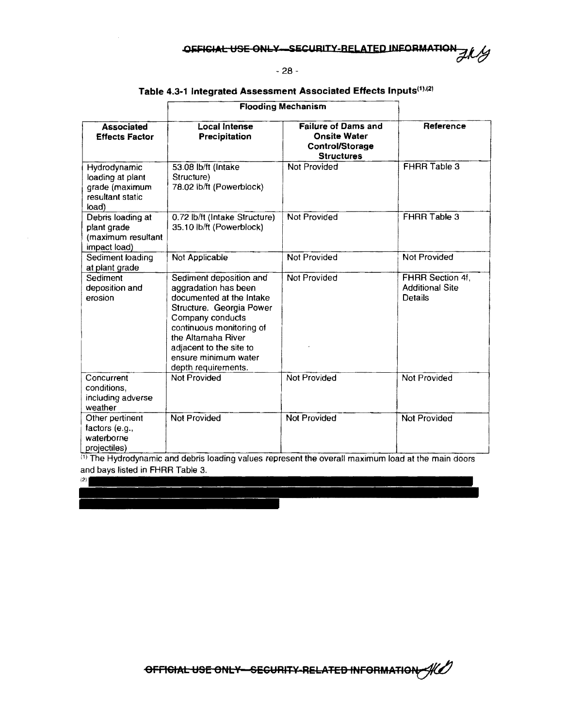#### - 28 -

#### Table 4.3-1 Integrated Assessment Associated Effects Inputs<sup>(1),(2)</sup>

|                                                                                 | <b>Flooding Mechanism</b>                                                                                                                                                                                                                               |                                                                                                  |                                                       |
|---------------------------------------------------------------------------------|---------------------------------------------------------------------------------------------------------------------------------------------------------------------------------------------------------------------------------------------------------|--------------------------------------------------------------------------------------------------|-------------------------------------------------------|
| <b>Associated</b><br><b>Effects Factor</b>                                      | <b>Local Intense</b><br>Precipitation                                                                                                                                                                                                                   | <b>Failure of Dams and</b><br><b>Onsite Water</b><br><b>Control/Storage</b><br><b>Structures</b> | Reference                                             |
| Hydrodynamic<br>loading at plant<br>grade (maximum<br>resultant static<br>load) | 53.08 lb/ft (Intake<br>Structure)<br>78.02 lb/ft (Powerblock)                                                                                                                                                                                           | Not Provided                                                                                     | FHRR Table 3                                          |
| Debris loading at<br>plant grade<br>(maximum resultant<br>impact load)          | 0.72 lb/ft (Intake Structure)<br>35.10 lb/ft (Powerblock)                                                                                                                                                                                               | Not Provided                                                                                     | FHRR Table 3                                          |
| Sediment loading<br>at plant grade                                              | Not Applicable                                                                                                                                                                                                                                          | <b>Not Provided</b>                                                                              | <b>Not Provided</b>                                   |
| Sediment<br>deposition and<br>erosion                                           | Sediment deposition and<br>aggradation has been<br>documented at the Intake<br>Structure. Georgia Power<br>Company conducts<br>continuous monitoring of<br>the Altamaha River<br>adjacent to the site to<br>ensure minimum water<br>depth requirements. | Not Provided                                                                                     | FHRR Section 4f,<br><b>Additional Site</b><br>Details |
| Concurrent<br>conditions,<br>including adverse<br>weather                       | <b>Not Provided</b>                                                                                                                                                                                                                                     | Not Provided                                                                                     | Not Provided                                          |
| Other pertinent<br>factors (e.g.,<br>waterborne<br>projectiles)                 | Not Provided                                                                                                                                                                                                                                            | Not Provided                                                                                     | Not Provided                                          |

 $\text{^{(1)}}$  The Hydrodynamic and debris loading values represent the overall maximum load at the main doors and bays listed in FHRR Table 3.

 $(2)$ 

OFFICIAL USE ONLY-SECURITY RELATED INFORMATION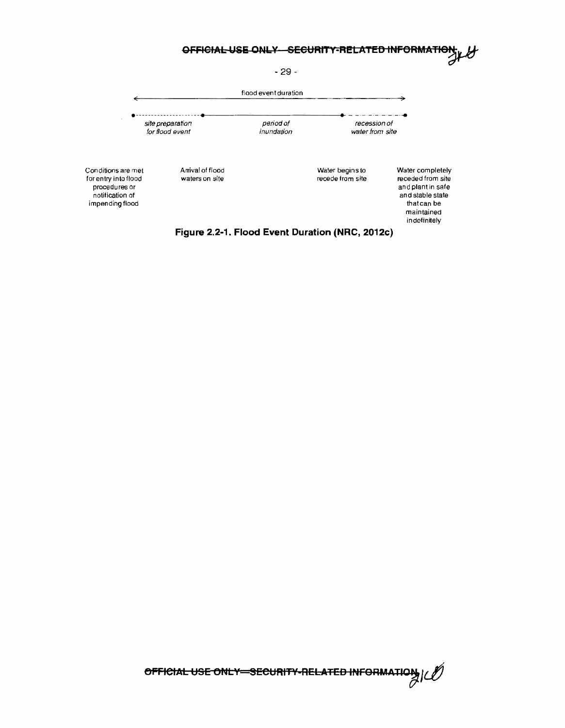



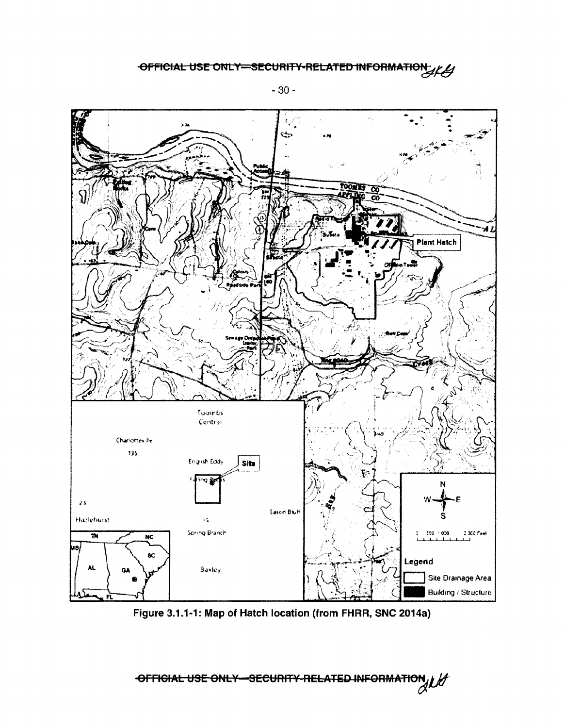

Figure 3.1.1-1: Map of Hatch location (from FHRR, SNC 2014a)

-OFFICIAL USE ONLY SECURITY RELATED INFORMATION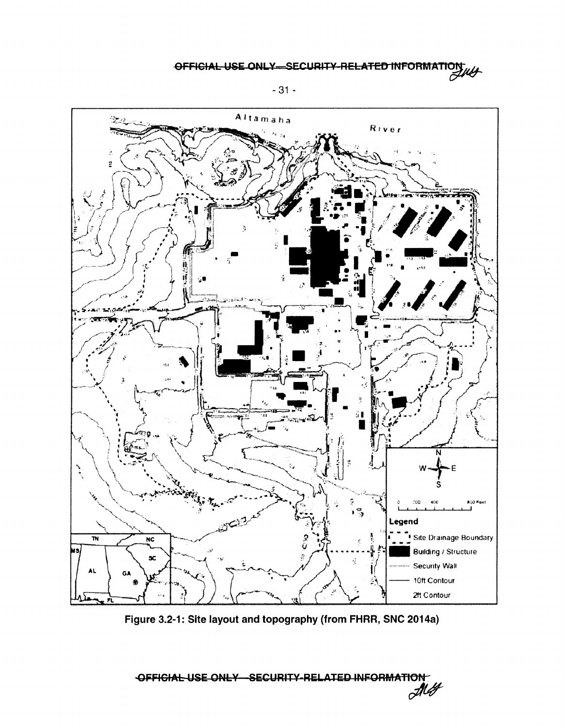

Figure 3.2-1: Site layout and topography (from FHRR, SNC 2014a)

OFFICIAL USE ONLY SECURITY-RELATED INFORMATION **My**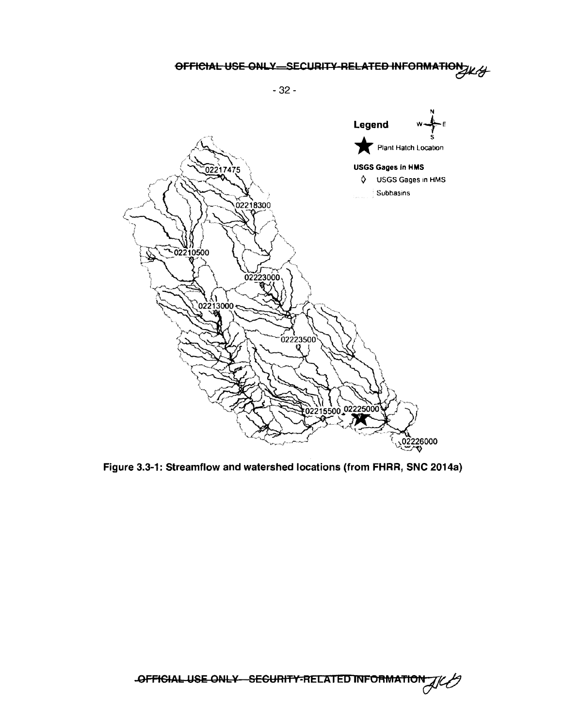- 32 -



Figure 3.3-1: Streamflow and watershed locations {from FHRR, SNC 2014a)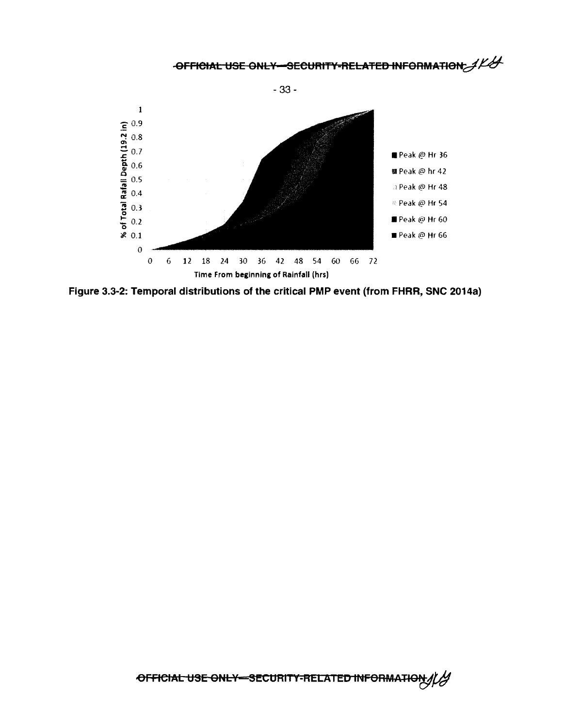**OFFICIAL USE ONLY-SECURITY-RELATED INFORMATION:** 



**Figure 3.3-2: Temporal distributions of the critical PMP event (from FHRR, SNC 2014a)**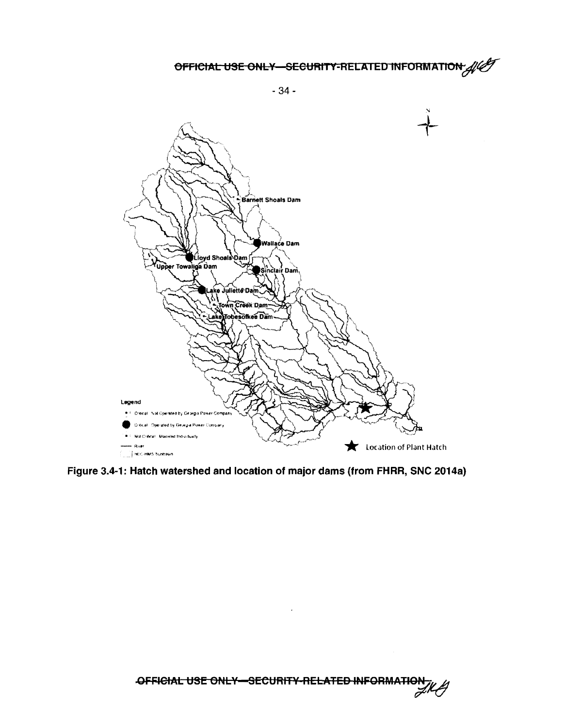- 34 -



Figure 3.4-1: Hatch watershed and location of major dams (from FHRR, SNC 2014a)



 $\hat{\boldsymbol{\cdot}$